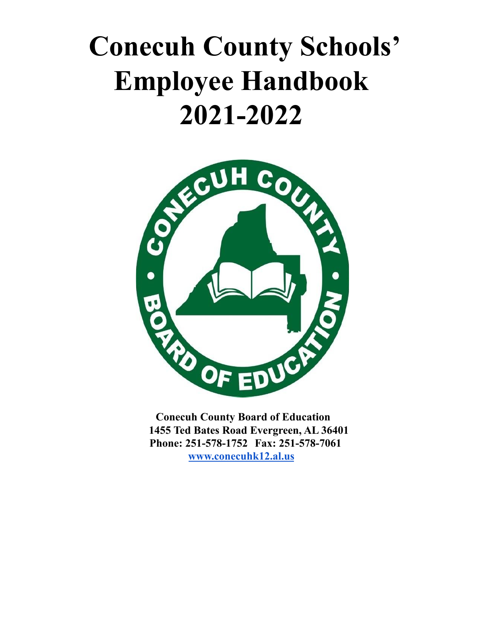# **Conecuh County Schools' Employee Handbook 2021-2022**



**Conecuh County Board of Education 1455 Ted Bates Road Evergreen, AL 36401 Phone: 251-578-1752 Fax: 251-578-7061 [www.conecuhk12.al.us](http://www.conecuhk12.al.us)**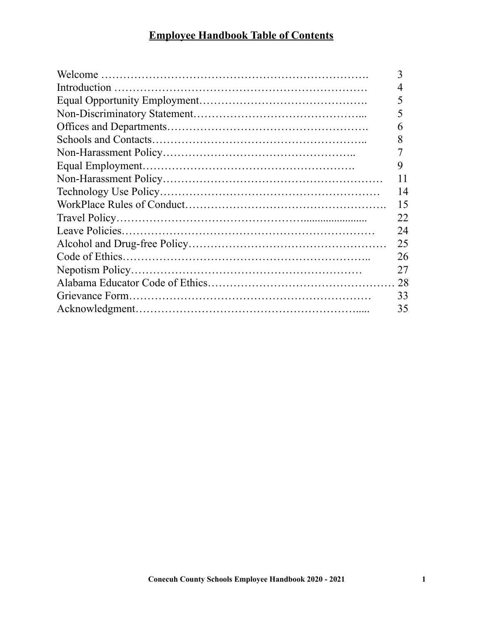## **Employee Handbook Table of Contents**

| 3  |
|----|
| 4  |
| 5  |
| 5  |
| 6  |
| 8  |
|    |
| 9  |
| 11 |
| 14 |
| 15 |
| 22 |
| 24 |
| 25 |
| 26 |
| 27 |
| 28 |
| 33 |
| 35 |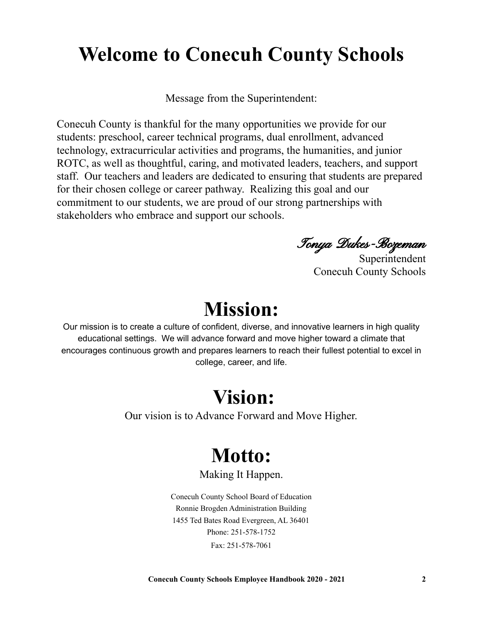## **Welcome to Conecuh County Schools**

Message from the Superintendent:

Conecuh County is thankful for the many opportunities we provide for our students: preschool, career technical programs, dual enrollment, advanced technology, extracurricular activities and programs, the humanities, and junior ROTC, as well as thoughtful, caring, and motivated leaders, teachers, and support staff. Our teachers and leaders are dedicated to ensuring that students are prepared for their chosen college or career pathway. Realizing this goal and our commitment to our students, we are proud of our strong partnerships with stakeholders who embrace and support our schools.

Tonya Dukes-Bozeman

Superintendent Conecuh County Schools

## **Mission:**

Our mission is to create a culture of confident, diverse, and innovative learners in high quality educational settings. We will advance forward and move higher toward a climate that encourages continuous growth and prepares learners to reach their fullest potential to excel in college, career, and life.

## **Vision:**

Our vision is to Advance Forward and Move Higher.

## **Motto:**

#### Making It Happen.

Conecuh County School Board of Education Ronnie Brogden Administration Building 1455 Ted Bates Road Evergreen, AL 36401 Phone: 251-578-1752 Fax: 251-578-7061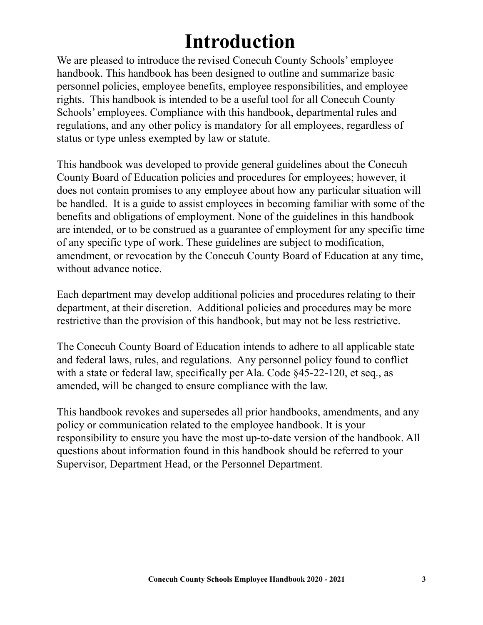## **Introduction**

We are pleased to introduce the revised Conecuh County Schools' employee handbook. This handbook has been designed to outline and summarize basic personnel policies, employee benefits, employee responsibilities, and employee rights. This handbook is intended to be a useful tool for all Conecuh County Schools' employees. Compliance with this handbook, departmental rules and regulations, and any other policy is mandatory for all employees, regardless of status or type unless exempted by law or statute.

This handbook was developed to provide general guidelines about the Conecuh County Board of Education policies and procedures for employees; however, it does not contain promises to any employee about how any particular situation will be handled. It is a guide to assist employees in becoming familiar with some of the benefits and obligations of employment. None of the guidelines in this handbook are intended, or to be construed as a guarantee of employment for any specific time of any specific type of work. These guidelines are subject to modification, amendment, or revocation by the Conecuh County Board of Education at any time, without advance notice.

Each department may develop additional policies and procedures relating to their department, at their discretion. Additional policies and procedures may be more restrictive than the provision of this handbook, but may not be less restrictive.

The Conecuh County Board of Education intends to adhere to all applicable state and federal laws, rules, and regulations. Any personnel policy found to conflict with a state or federal law, specifically per Ala. Code §45-22-120, et seq., as amended, will be changed to ensure compliance with the law.

This handbook revokes and supersedes all prior handbooks, amendments, and any policy or communication related to the employee handbook. It is your responsibility to ensure you have the most up-to-date version of the handbook. All questions about information found in this handbook should be referred to your Supervisor, Department Head, or the Personnel Department.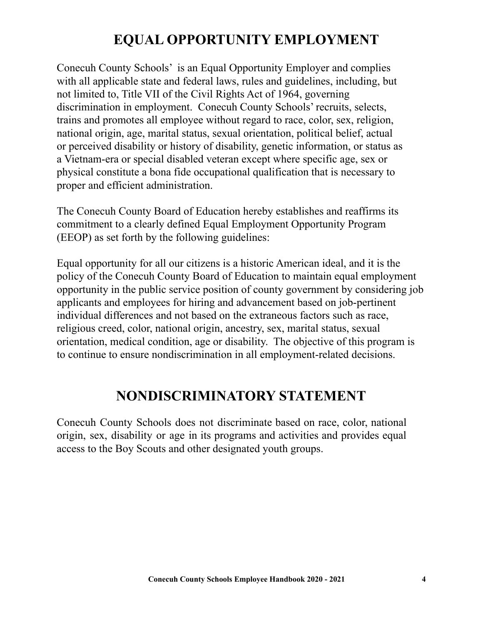## **EQUAL OPPORTUNITY EMPLOYMENT**

Conecuh County Schools' is an Equal Opportunity Employer and complies with all applicable state and federal laws, rules and guidelines, including, but not limited to, Title VII of the Civil Rights Act of 1964, governing discrimination in employment. Conecuh County Schools' recruits, selects, trains and promotes all employee without regard to race, color, sex, religion, national origin, age, marital status, sexual orientation, political belief, actual or perceived disability or history of disability, genetic information, or status as a Vietnam-era or special disabled veteran except where specific age, sex or physical constitute a bona fide occupational qualification that is necessary to proper and efficient administration.

The Conecuh County Board of Education hereby establishes and reaffirms its commitment to a clearly defined Equal Employment Opportunity Program (EEOP) as set forth by the following guidelines:

Equal opportunity for all our citizens is a historic American ideal, and it is the policy of the Conecuh County Board of Education to maintain equal employment opportunity in the public service position of county government by considering job applicants and employees for hiring and advancement based on job-pertinent individual differences and not based on the extraneous factors such as race, religious creed, color, national origin, ancestry, sex, marital status, sexual orientation, medical condition, age or disability. The objective of this program is to continue to ensure nondiscrimination in all employment-related decisions.

### **NONDISCRIMINATORY STATEMENT**

Conecuh County Schools does not discriminate based on race, color, national origin, sex, disability or age in its programs and activities and provides equal access to the Boy Scouts and other designated youth groups.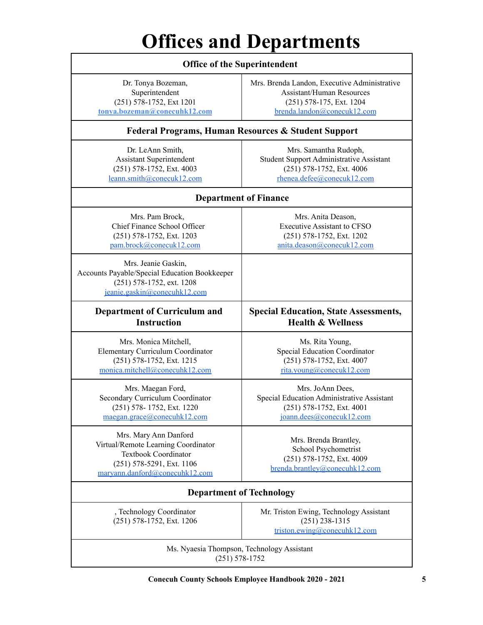## **Offices and Departments**

| <b>Office of the Superintendent</b>                                                                                                                        |                                                                                                                                             |  |  |  |
|------------------------------------------------------------------------------------------------------------------------------------------------------------|---------------------------------------------------------------------------------------------------------------------------------------------|--|--|--|
| Dr. Tonya Bozeman,<br>Superintendent<br>(251) 578-1752, Ext 1201<br>tonya.bozeman@conecuhk12.com                                                           | Mrs. Brenda Landon, Executive Administrative<br><b>Assistant/Human Resources</b><br>(251) 578-175, Ext. 1204<br>brenda.landon@conecuk12.com |  |  |  |
| <b>Federal Programs, Human Resources &amp; Student Support</b>                                                                                             |                                                                                                                                             |  |  |  |
| Dr. LeAnn Smith,<br><b>Assistant Superintendent</b><br>(251) 578-1752, Ext. 4003<br>leann.smith@conecuk12.com                                              | Mrs. Samantha Rudoph,<br><b>Student Support Administrative Assistant</b><br>(251) 578-1752, Ext. 4006<br>rhenea.defee@conecuk12.com         |  |  |  |
| <b>Department of Finance</b>                                                                                                                               |                                                                                                                                             |  |  |  |
| Mrs. Pam Brock,<br>Chief Finance School Officer<br>(251) 578-1752, Ext. 1203<br>pam.brock@conecuk12.com                                                    | Mrs. Anita Deason,<br><b>Executive Assistant to CFSO</b><br>(251) 578-1752, Ext. 1202<br>anita.deason@conecuk12.com                         |  |  |  |
| Mrs. Jeanie Gaskin,<br>Accounts Payable/Special Education Bookkeeper<br>(251) 578-1752, ext. 1208<br>jeanie.gaskin@conecuhk12.com                          |                                                                                                                                             |  |  |  |
| <b>Department of Curriculum and</b><br><b>Instruction</b>                                                                                                  | <b>Special Education, State Assessments,</b><br><b>Health &amp; Wellness</b>                                                                |  |  |  |
| Mrs. Monica Mitchell,<br><b>Elementary Curriculum Coordinator</b><br>(251) 578-1752, Ext. 1215<br>monica.mitchell@conecuhk12.com                           | Ms. Rita Young,<br>Special Education Coordinator<br>(251) 578-1752, Ext. 4007<br>rita.young@conecuk12.com                                   |  |  |  |
| Mrs. Maegan Ford,<br>Secondary Curriculum Coordinator<br>$(251)$ 578-1752, Ext. 1220<br>maegan.grace@conecuhk12.com                                        | Mrs. JoAnn Dees,<br>Special Education Administrative Assistant<br>$(251)$ 578-1752, Ext. 4001<br>joann.dees@conecuk12.com                   |  |  |  |
| Mrs. Mary Ann Danford<br>Virtual/Remote Learning Coordinator<br><b>Textbook Coordinator</b><br>(251) 578-5291, Ext. 1106<br>maryann.danford@conecuhk12.com | Mrs. Brenda Brantley,<br>School Psychometrist<br>(251) 578-1752, Ext. 4009<br>brenda.brantley@conecuhk12.com                                |  |  |  |
| <b>Department of Technology</b>                                                                                                                            |                                                                                                                                             |  |  |  |
| , Technology Coordinator<br>(251) 578-1752, Ext. 1206                                                                                                      | Mr. Triston Ewing, Technology Assistant<br>$(251)$ 238-1315<br>triston.ewing@conecuhk12.com                                                 |  |  |  |
| Ms. Nyaesia Thompson, Technology Assistant<br>$(251) 578 - 1752$                                                                                           |                                                                                                                                             |  |  |  |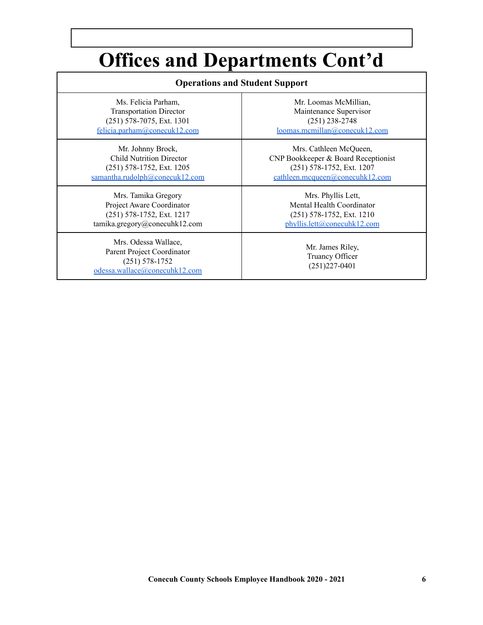## **Offices and Departments Cont'd**

| <b>Operations and Student Support</b>                                                                     |                                                          |  |
|-----------------------------------------------------------------------------------------------------------|----------------------------------------------------------|--|
| Ms. Felicia Parham.                                                                                       | Mr. Loomas McMillian.                                    |  |
| <b>Transportation Director</b>                                                                            | Maintenance Supervisor                                   |  |
| (251) 578-7075, Ext. 1301                                                                                 | $(251)$ 238-2748                                         |  |
| felicia.parham@conecuk12.com                                                                              | loomas.mcmillan@conecuk12.com                            |  |
| Mr. Johnny Brock,                                                                                         | Mrs. Cathleen McQueen,                                   |  |
| <b>Child Nutrition Director</b>                                                                           | CNP Bookkeeper & Board Receptionist                      |  |
| $(251)$ 578-1752, Ext. 1205                                                                               | (251) 578-1752, Ext. 1207                                |  |
| samantha.rudolph@conecuk12.com                                                                            | cathleen.mcqueen@conecuhk12.com                          |  |
| Mrs. Tamika Gregory                                                                                       | Mrs. Phyllis Lett,                                       |  |
| Project Aware Coordinator                                                                                 | Mental Health Coordinator                                |  |
| (251) 578-1752, Ext. 1217                                                                                 | $(251)$ 578-1752, Ext. 1210                              |  |
| tamika.gregory@conecuhk12.com                                                                             | phyllis.lett@conecuhk12.com                              |  |
| Mrs. Odessa Wallace,<br>Parent Project Coordinator<br>$(251) 578 - 1752$<br>odessa.wallace@conecuhk12.com | Mr. James Riley,<br>Truancy Officer<br>$(251)227 - 0401$ |  |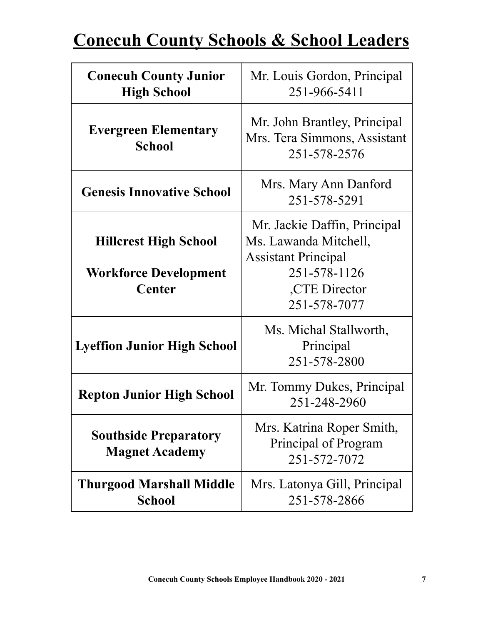## **Conecuh County Schools & School Leaders**

| <b>Conecuh County Junior</b><br><b>High School</b>                            | Mr. Louis Gordon, Principal<br>251-966-5411                                                                                          |  |
|-------------------------------------------------------------------------------|--------------------------------------------------------------------------------------------------------------------------------------|--|
| <b>Evergreen Elementary</b><br><b>School</b>                                  | Mr. John Brantley, Principal<br>Mrs. Tera Simmons, Assistant<br>251-578-2576                                                         |  |
| <b>Genesis Innovative School</b>                                              | Mrs. Mary Ann Danford<br>251-578-5291                                                                                                |  |
| <b>Hillcrest High School</b><br><b>Workforce Development</b><br><b>Center</b> | Mr. Jackie Daffin, Principal<br>Ms. Lawanda Mitchell,<br><b>Assistant Principal</b><br>251-578-1126<br>,CTE Director<br>251-578-7077 |  |
| <b>Lyeffion Junior High School</b>                                            | Ms. Michal Stallworth,<br>Principal<br>251-578-2800                                                                                  |  |
| <b>Repton Junior High School</b>                                              | Mr. Tommy Dukes, Principal<br>251-248-2960                                                                                           |  |
| <b>Southside Preparatory</b><br><b>Magnet Academy</b>                         | Mrs. Katrina Roper Smith,<br>Principal of Program<br>251-572-7072                                                                    |  |
| <b>Thurgood Marshall Middle</b><br><b>School</b>                              | Mrs. Latonya Gill, Principal<br>251-578-2866                                                                                         |  |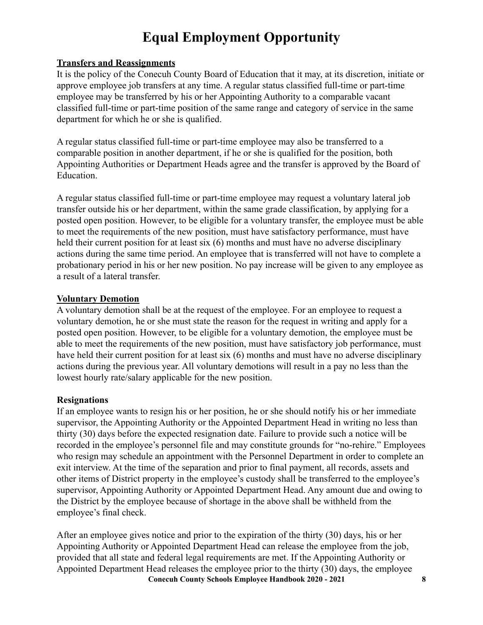## **Equal Employment Opportunity**

#### **Transfers and Reassignments**

It is the policy of the Conecuh County Board of Education that it may, at its discretion, initiate or approve employee job transfers at any time. A regular status classified full-time or part-time employee may be transferred by his or her Appointing Authority to a comparable vacant classified full-time or part-time position of the same range and category of service in the same department for which he or she is qualified.

A regular status classified full-time or part-time employee may also be transferred to a comparable position in another department, if he or she is qualified for the position, both Appointing Authorities or Department Heads agree and the transfer is approved by the Board of Education.

A regular status classified full-time or part-time employee may request a voluntary lateral job transfer outside his or her department, within the same grade classification, by applying for a posted open position. However, to be eligible for a voluntary transfer, the employee must be able to meet the requirements of the new position, must have satisfactory performance, must have held their current position for at least six (6) months and must have no adverse disciplinary actions during the same time period. An employee that is transferred will not have to complete a probationary period in his or her new position. No pay increase will be given to any employee as a result of a lateral transfer.

#### **Voluntary Demotion**

A voluntary demotion shall be at the request of the employee. For an employee to request a voluntary demotion, he or she must state the reason for the request in writing and apply for a posted open position. However, to be eligible for a voluntary demotion, the employee must be able to meet the requirements of the new position, must have satisfactory job performance, must have held their current position for at least six (6) months and must have no adverse disciplinary actions during the previous year. All voluntary demotions will result in a pay no less than the lowest hourly rate/salary applicable for the new position.

#### **Resignations**

If an employee wants to resign his or her position, he or she should notify his or her immediate supervisor, the Appointing Authority or the Appointed Department Head in writing no less than thirty (30) days before the expected resignation date. Failure to provide such a notice will be recorded in the employee's personnel file and may constitute grounds for "no-rehire." Employees who resign may schedule an appointment with the Personnel Department in order to complete an exit interview. At the time of the separation and prior to final payment, all records, assets and other items of District property in the employee's custody shall be transferred to the employee's supervisor, Appointing Authority or Appointed Department Head. Any amount due and owing to the District by the employee because of shortage in the above shall be withheld from the employee's final check.

After an employee gives notice and prior to the expiration of the thirty (30) days, his or her Appointing Authority or Appointed Department Head can release the employee from the job, provided that all state and federal legal requirements are met. If the Appointing Authority or Appointed Department Head releases the employee prior to the thirty (30) days, the employee **Conecuh County Schools Employee Handbook 2020 - 2021 8**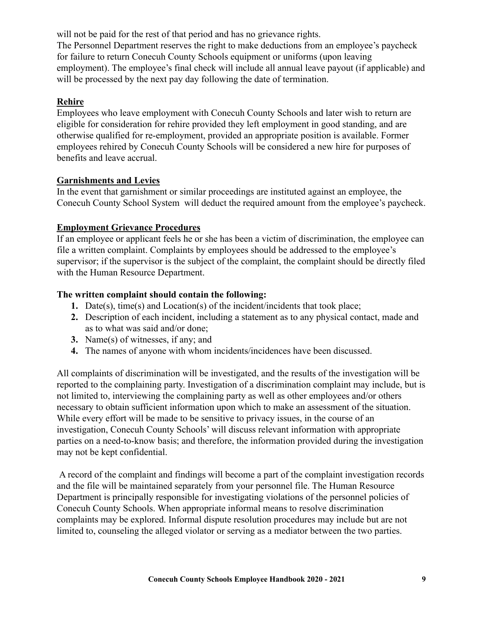will not be paid for the rest of that period and has no grievance rights.

The Personnel Department reserves the right to make deductions from an employee's paycheck for failure to return Conecuh County Schools equipment or uniforms (upon leaving employment). The employee's final check will include all annual leave payout (if applicable) and will be processed by the next pay day following the date of termination.

#### **Rehire**

Employees who leave employment with Conecuh County Schools and later wish to return are eligible for consideration for rehire provided they left employment in good standing, and are otherwise qualified for re-employment, provided an appropriate position is available. Former employees rehired by Conecuh County Schools will be considered a new hire for purposes of benefits and leave accrual.

#### **Garnishments and Levies**

In the event that garnishment or similar proceedings are instituted against an employee, the Conecuh County School System will deduct the required amount from the employee's paycheck.

#### **Employment Grievance Procedures**

If an employee or applicant feels he or she has been a victim of discrimination, the employee can file a written complaint. Complaints by employees should be addressed to the employee's supervisor; if the supervisor is the subject of the complaint, the complaint should be directly filed with the Human Resource Department.

#### **The written complaint should contain the following:**

- **1.** Date(s), time(s) and Location(s) of the incident/incidents that took place;
- **2.** Description of each incident, including a statement as to any physical contact, made and as to what was said and/or done;
- **3.** Name(s) of witnesses, if any; and
- **4.** The names of anyone with whom incidents/incidences have been discussed.

All complaints of discrimination will be investigated, and the results of the investigation will be reported to the complaining party. Investigation of a discrimination complaint may include, but is not limited to, interviewing the complaining party as well as other employees and/or others necessary to obtain sufficient information upon which to make an assessment of the situation. While every effort will be made to be sensitive to privacy issues, in the course of an investigation, Conecuh County Schools' will discuss relevant information with appropriate parties on a need-to-know basis; and therefore, the information provided during the investigation may not be kept confidential.

A record of the complaint and findings will become a part of the complaint investigation records and the file will be maintained separately from your personnel file. The Human Resource Department is principally responsible for investigating violations of the personnel policies of Conecuh County Schools. When appropriate informal means to resolve discrimination complaints may be explored. Informal dispute resolution procedures may include but are not limited to, counseling the alleged violator or serving as a mediator between the two parties.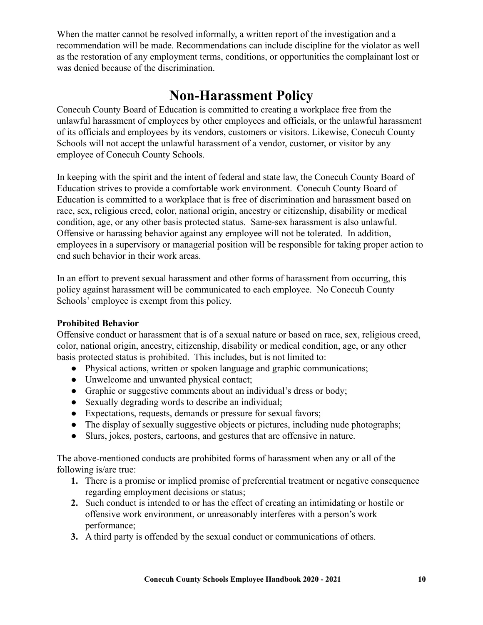When the matter cannot be resolved informally, a written report of the investigation and a recommendation will be made. Recommendations can include discipline for the violator as well as the restoration of any employment terms, conditions, or opportunities the complainant lost or was denied because of the discrimination.

### **Non-Harassment Policy**

Conecuh County Board of Education is committed to creating a workplace free from the unlawful harassment of employees by other employees and officials, or the unlawful harassment of its officials and employees by its vendors, customers or visitors. Likewise, Conecuh County Schools will not accept the unlawful harassment of a vendor, customer, or visitor by any employee of Conecuh County Schools.

In keeping with the spirit and the intent of federal and state law, the Conecuh County Board of Education strives to provide a comfortable work environment. Conecuh County Board of Education is committed to a workplace that is free of discrimination and harassment based on race, sex, religious creed, color, national origin, ancestry or citizenship, disability or medical condition, age, or any other basis protected status. Same-sex harassment is also unlawful. Offensive or harassing behavior against any employee will not be tolerated. In addition, employees in a supervisory or managerial position will be responsible for taking proper action to end such behavior in their work areas.

In an effort to prevent sexual harassment and other forms of harassment from occurring, this policy against harassment will be communicated to each employee. No Conecuh County Schools' employee is exempt from this policy.

#### **Prohibited Behavior**

Offensive conduct or harassment that is of a sexual nature or based on race, sex, religious creed, color, national origin, ancestry, citizenship, disability or medical condition, age, or any other basis protected status is prohibited. This includes, but is not limited to:

- Physical actions, written or spoken language and graphic communications;
- Unwelcome and unwanted physical contact;
- Graphic or suggestive comments about an individual's dress or body;
- Sexually degrading words to describe an individual;
- Expectations, requests, demands or pressure for sexual favors;
- The display of sexually suggestive objects or pictures, including nude photographs;
- Slurs, jokes, posters, cartoons, and gestures that are offensive in nature.

The above-mentioned conducts are prohibited forms of harassment when any or all of the following is/are true:

- **1.** There is a promise or implied promise of preferential treatment or negative consequence regarding employment decisions or status;
- **2.** Such conduct is intended to or has the effect of creating an intimidating or hostile or offensive work environment, or unreasonably interferes with a person's work performance;
- **3.** A third party is offended by the sexual conduct or communications of others.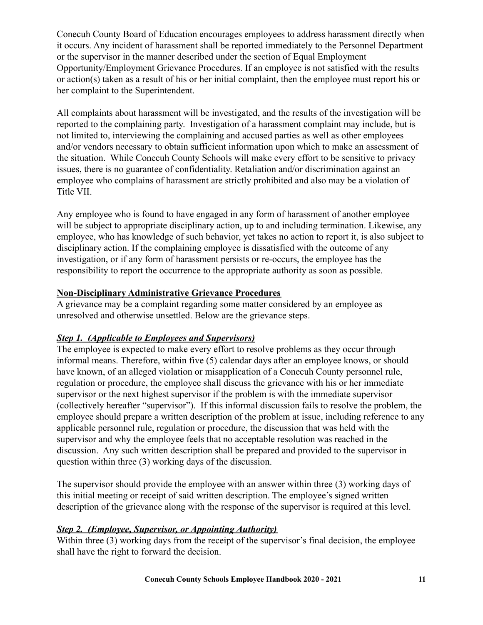Conecuh County Board of Education encourages employees to address harassment directly when it occurs. Any incident of harassment shall be reported immediately to the Personnel Department or the supervisor in the manner described under the section of Equal Employment Opportunity/Employment Grievance Procedures. If an employee is not satisfied with the results or action(s) taken as a result of his or her initial complaint, then the employee must report his or her complaint to the Superintendent.

All complaints about harassment will be investigated, and the results of the investigation will be reported to the complaining party. Investigation of a harassment complaint may include, but is not limited to, interviewing the complaining and accused parties as well as other employees and/or vendors necessary to obtain sufficient information upon which to make an assessment of the situation. While Conecuh County Schools will make every effort to be sensitive to privacy issues, there is no guarantee of confidentiality. Retaliation and/or discrimination against an employee who complains of harassment are strictly prohibited and also may be a violation of Title VII.

Any employee who is found to have engaged in any form of harassment of another employee will be subject to appropriate disciplinary action, up to and including termination. Likewise, any employee, who has knowledge of such behavior, yet takes no action to report it, is also subject to disciplinary action. If the complaining employee is dissatisfied with the outcome of any investigation, or if any form of harassment persists or re-occurs, the employee has the responsibility to report the occurrence to the appropriate authority as soon as possible.

#### **Non-Disciplinary Administrative Grievance Procedures**

A grievance may be a complaint regarding some matter considered by an employee as unresolved and otherwise unsettled. Below are the grievance steps.

#### *Step 1. (Applicable to Employees and Supervisors)*

The employee is expected to make every effort to resolve problems as they occur through informal means. Therefore, within five (5) calendar days after an employee knows, or should have known, of an alleged violation or misapplication of a Conecuh County personnel rule, regulation or procedure, the employee shall discuss the grievance with his or her immediate supervisor or the next highest supervisor if the problem is with the immediate supervisor (collectively hereafter "supervisor"). If this informal discussion fails to resolve the problem, the employee should prepare a written description of the problem at issue, including reference to any applicable personnel rule, regulation or procedure, the discussion that was held with the supervisor and why the employee feels that no acceptable resolution was reached in the discussion. Any such written description shall be prepared and provided to the supervisor in question within three (3) working days of the discussion.

The supervisor should provide the employee with an answer within three (3) working days of this initial meeting or receipt of said written description. The employee's signed written description of the grievance along with the response of the supervisor is required at this level.

#### *Step 2. (Employee, Supervisor, or Appointing Authority)*

Within three (3) working days from the receipt of the supervisor's final decision, the employee shall have the right to forward the decision.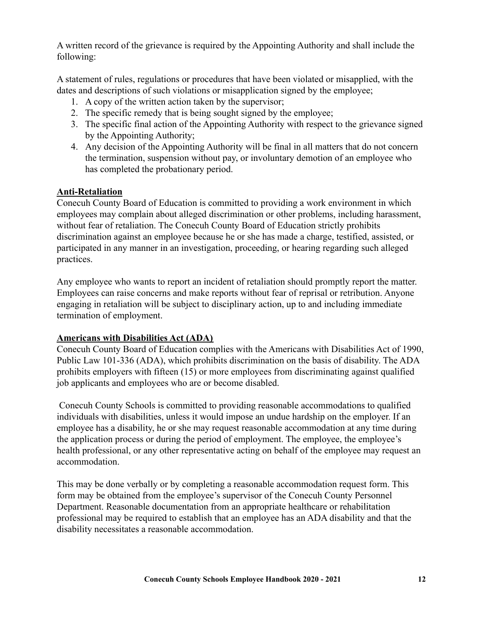A written record of the grievance is required by the Appointing Authority and shall include the following:

A statement of rules, regulations or procedures that have been violated or misapplied, with the dates and descriptions of such violations or misapplication signed by the employee;

- 1. A copy of the written action taken by the supervisor;
- 2. The specific remedy that is being sought signed by the employee;
- 3. The specific final action of the Appointing Authority with respect to the grievance signed by the Appointing Authority;
- 4. Any decision of the Appointing Authority will be final in all matters that do not concern the termination, suspension without pay, or involuntary demotion of an employee who has completed the probationary period.

#### **Anti-Retaliation**

Conecuh County Board of Education is committed to providing a work environment in which employees may complain about alleged discrimination or other problems, including harassment, without fear of retaliation. The Conecuh County Board of Education strictly prohibits discrimination against an employee because he or she has made a charge, testified, assisted, or participated in any manner in an investigation, proceeding, or hearing regarding such alleged practices.

Any employee who wants to report an incident of retaliation should promptly report the matter. Employees can raise concerns and make reports without fear of reprisal or retribution. Anyone engaging in retaliation will be subject to disciplinary action, up to and including immediate termination of employment.

#### **Americans with Disabilities Act (ADA)**

Conecuh County Board of Education complies with the Americans with Disabilities Act of 1990, Public Law 101-336 (ADA), which prohibits discrimination on the basis of disability. The ADA prohibits employers with fifteen (15) or more employees from discriminating against qualified job applicants and employees who are or become disabled.

Conecuh County Schools is committed to providing reasonable accommodations to qualified individuals with disabilities, unless it would impose an undue hardship on the employer. If an employee has a disability, he or she may request reasonable accommodation at any time during the application process or during the period of employment. The employee, the employee's health professional, or any other representative acting on behalf of the employee may request an accommodation.

This may be done verbally or by completing a reasonable accommodation request form. This form may be obtained from the employee's supervisor of the Conecuh County Personnel Department. Reasonable documentation from an appropriate healthcare or rehabilitation professional may be required to establish that an employee has an ADA disability and that the disability necessitates a reasonable accommodation.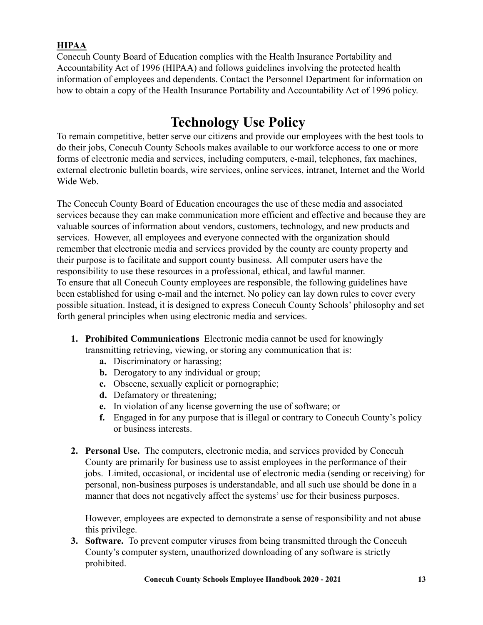#### **HIPAA**

Conecuh County Board of Education complies with the Health Insurance Portability and Accountability Act of 1996 (HIPAA) and follows guidelines involving the protected health information of employees and dependents. Contact the Personnel Department for information on how to obtain a copy of the Health Insurance Portability and Accountability Act of 1996 policy.

## **Technology Use Policy**

To remain competitive, better serve our citizens and provide our employees with the best tools to do their jobs, Conecuh County Schools makes available to our workforce access to one or more forms of electronic media and services, including computers, e-mail, telephones, fax machines, external electronic bulletin boards, wire services, online services, intranet, Internet and the World Wide Web.

The Conecuh County Board of Education encourages the use of these media and associated services because they can make communication more efficient and effective and because they are valuable sources of information about vendors, customers, technology, and new products and services. However, all employees and everyone connected with the organization should remember that electronic media and services provided by the county are county property and their purpose is to facilitate and support county business. All computer users have the responsibility to use these resources in a professional, ethical, and lawful manner. To ensure that all Conecuh County employees are responsible, the following guidelines have been established for using e-mail and the internet. No policy can lay down rules to cover every possible situation. Instead, it is designed to express Conecuh County Schools' philosophy and set forth general principles when using electronic media and services.

- **1. Prohibited Communications** Electronic media cannot be used for knowingly
	- transmitting retrieving, viewing, or storing any communication that is:
		- **a.** Discriminatory or harassing;
		- **b.** Derogatory to any individual or group;
		- **c.** Obscene, sexually explicit or pornographic;
		- **d.** Defamatory or threatening;
		- **e.** In violation of any license governing the use of software; or
		- **f.** Engaged in for any purpose that is illegal or contrary to Conecuh County's policy or business interests.
- **2. Personal Use.** The computers, electronic media, and services provided by Conecuh County are primarily for business use to assist employees in the performance of their jobs. Limited, occasional, or incidental use of electronic media (sending or receiving) for personal, non-business purposes is understandable, and all such use should be done in a manner that does not negatively affect the systems' use for their business purposes.

However, employees are expected to demonstrate a sense of responsibility and not abuse this privilege.

**3. Software.** To prevent computer viruses from being transmitted through the Conecuh County's computer system, unauthorized downloading of any software is strictly prohibited.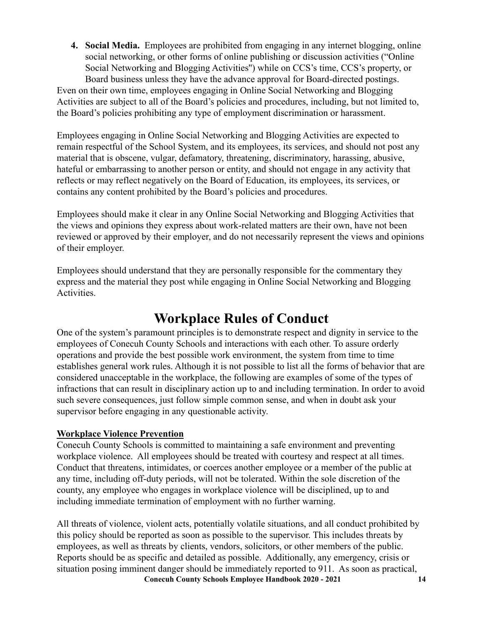**4. Social Media.** Employees are prohibited from engaging in any internet blogging, online social networking, or other forms of online publishing or discussion activities ("Online Social Networking and Blogging Activities'') while on CCS's time, CCS's property, or Board business unless they have the advance approval for Board-directed postings.

Even on their own time, employees engaging in Online Social Networking and Blogging Activities are subject to all of the Board's policies and procedures, including, but not limited to, the Board's policies prohibiting any type of employment discrimination or harassment.

Employees engaging in Online Social Networking and Blogging Activities are expected to remain respectful of the School System, and its employees, its services, and should not post any material that is obscene, vulgar, defamatory, threatening, discriminatory, harassing, abusive, hateful or embarrassing to another person or entity, and should not engage in any activity that reflects or may reflect negatively on the Board of Education, its employees, its services, or contains any content prohibited by the Board's policies and procedures.

Employees should make it clear in any Online Social Networking and Blogging Activities that the views and opinions they express about work-related matters are their own, have not been reviewed or approved by their employer, and do not necessarily represent the views and opinions of their employer.

Employees should understand that they are personally responsible for the commentary they express and the material they post while engaging in Online Social Networking and Blogging Activities.

### **Workplace Rules of Conduct**

One of the system's paramount principles is to demonstrate respect and dignity in service to the employees of Conecuh County Schools and interactions with each other. To assure orderly operations and provide the best possible work environment, the system from time to time establishes general work rules. Although it is not possible to list all the forms of behavior that are considered unacceptable in the workplace, the following are examples of some of the types of infractions that can result in disciplinary action up to and including termination. In order to avoid such severe consequences, just follow simple common sense, and when in doubt ask your supervisor before engaging in any questionable activity.

#### **Workplace Violence Prevention**

Conecuh County Schools is committed to maintaining a safe environment and preventing workplace violence. All employees should be treated with courtesy and respect at all times. Conduct that threatens, intimidates, or coerces another employee or a member of the public at any time, including off-duty periods, will not be tolerated. Within the sole discretion of the county, any employee who engages in workplace violence will be disciplined, up to and including immediate termination of employment with no further warning.

All threats of violence, violent acts, potentially volatile situations, and all conduct prohibited by this policy should be reported as soon as possible to the supervisor. This includes threats by employees, as well as threats by clients, vendors, solicitors, or other members of the public. Reports should be as specific and detailed as possible. Additionally, any emergency, crisis or situation posing imminent danger should be immediately reported to 911. As soon as practical, **Conecuh County Schools Employee Handbook 2020 - 2021 14**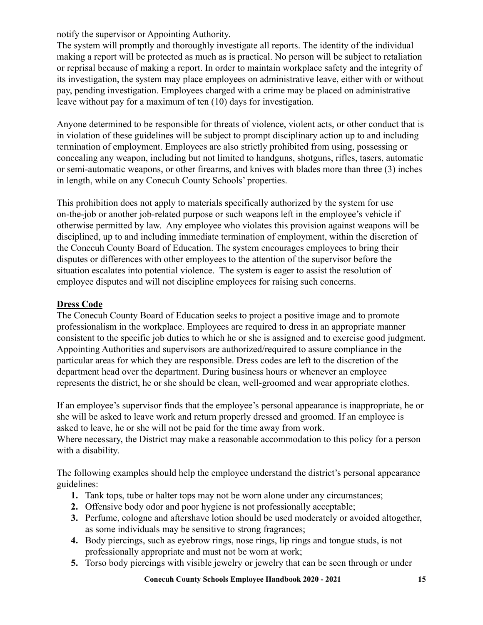notify the supervisor or Appointing Authority.

The system will promptly and thoroughly investigate all reports. The identity of the individual making a report will be protected as much as is practical. No person will be subject to retaliation or reprisal because of making a report. In order to maintain workplace safety and the integrity of its investigation, the system may place employees on administrative leave, either with or without pay, pending investigation. Employees charged with a crime may be placed on administrative leave without pay for a maximum of ten (10) days for investigation.

Anyone determined to be responsible for threats of violence, violent acts, or other conduct that is in violation of these guidelines will be subject to prompt disciplinary action up to and including termination of employment. Employees are also strictly prohibited from using, possessing or concealing any weapon, including but not limited to handguns, shotguns, rifles, tasers, automatic or semi-automatic weapons, or other firearms, and knives with blades more than three (3) inches in length, while on any Conecuh County Schools' properties.

This prohibition does not apply to materials specifically authorized by the system for use on-the-job or another job-related purpose or such weapons left in the employee's vehicle if otherwise permitted by law. Any employee who violates this provision against weapons will be disciplined, up to and including immediate termination of employment, within the discretion of the Conecuh County Board of Education. The system encourages employees to bring their disputes or differences with other employees to the attention of the supervisor before the situation escalates into potential violence. The system is eager to assist the resolution of employee disputes and will not discipline employees for raising such concerns.

#### **Dress Code**

The Conecuh County Board of Education seeks to project a positive image and to promote professionalism in the workplace. Employees are required to dress in an appropriate manner consistent to the specific job duties to which he or she is assigned and to exercise good judgment. Appointing Authorities and supervisors are authorized/required to assure compliance in the particular areas for which they are responsible. Dress codes are left to the discretion of the department head over the department. During business hours or whenever an employee represents the district, he or she should be clean, well-groomed and wear appropriate clothes.

If an employee's supervisor finds that the employee's personal appearance is inappropriate, he or she will be asked to leave work and return properly dressed and groomed. If an employee is asked to leave, he or she will not be paid for the time away from work.

Where necessary, the District may make a reasonable accommodation to this policy for a person with a disability.

The following examples should help the employee understand the district's personal appearance guidelines:

- **1.** Tank tops, tube or halter tops may not be worn alone under any circumstances;
- **2.** Offensive body odor and poor hygiene is not professionally acceptable;
- **3.** Perfume, cologne and aftershave lotion should be used moderately or avoided altogether, as some individuals may be sensitive to strong fragrances;
- **4.** Body piercings, such as eyebrow rings, nose rings, lip rings and tongue studs, is not professionally appropriate and must not be worn at work;
- **5.** Torso body piercings with visible jewelry or jewelry that can be seen through or under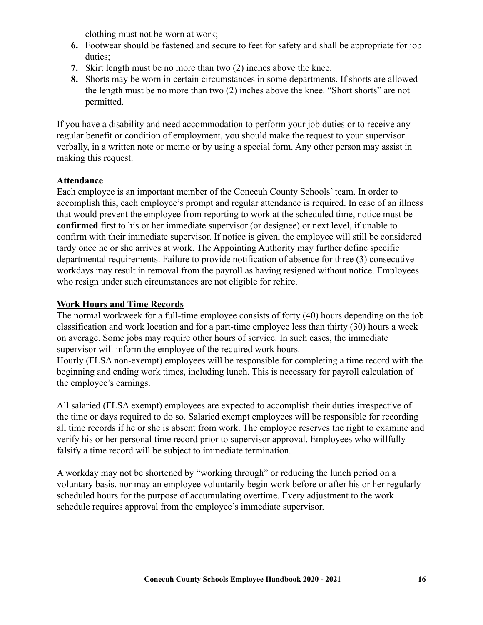clothing must not be worn at work;

- **6.** Footwear should be fastened and secure to feet for safety and shall be appropriate for job duties;
- **7.** Skirt length must be no more than two (2) inches above the knee.
- **8.** Shorts may be worn in certain circumstances in some departments. If shorts are allowed the length must be no more than two (2) inches above the knee. "Short shorts" are not permitted.

If you have a disability and need accommodation to perform your job duties or to receive any regular benefit or condition of employment, you should make the request to your supervisor verbally, in a written note or memo or by using a special form. Any other person may assist in making this request.

#### **Attendance**

Each employee is an important member of the Conecuh County Schools' team. In order to accomplish this, each employee's prompt and regular attendance is required. In case of an illness that would prevent the employee from reporting to work at the scheduled time, notice must be **confirmed** first to his or her immediate supervisor (or designee) or next level, if unable to confirm with their immediate supervisor. If notice is given, the employee will still be considered tardy once he or she arrives at work. The Appointing Authority may further define specific departmental requirements. Failure to provide notification of absence for three (3) consecutive workdays may result in removal from the payroll as having resigned without notice. Employees who resign under such circumstances are not eligible for rehire.

#### **Work Hours and Time Records**

The normal workweek for a full-time employee consists of forty (40) hours depending on the job classification and work location and for a part-time employee less than thirty (30) hours a week on average. Some jobs may require other hours of service. In such cases, the immediate supervisor will inform the employee of the required work hours.

Hourly (FLSA non-exempt) employees will be responsible for completing a time record with the beginning and ending work times, including lunch. This is necessary for payroll calculation of the employee's earnings.

All salaried (FLSA exempt) employees are expected to accomplish their duties irrespective of the time or days required to do so. Salaried exempt employees will be responsible for recording all time records if he or she is absent from work. The employee reserves the right to examine and verify his or her personal time record prior to supervisor approval. Employees who willfully falsify a time record will be subject to immediate termination.

A workday may not be shortened by "working through" or reducing the lunch period on a voluntary basis, nor may an employee voluntarily begin work before or after his or her regularly scheduled hours for the purpose of accumulating overtime. Every adjustment to the work schedule requires approval from the employee's immediate supervisor.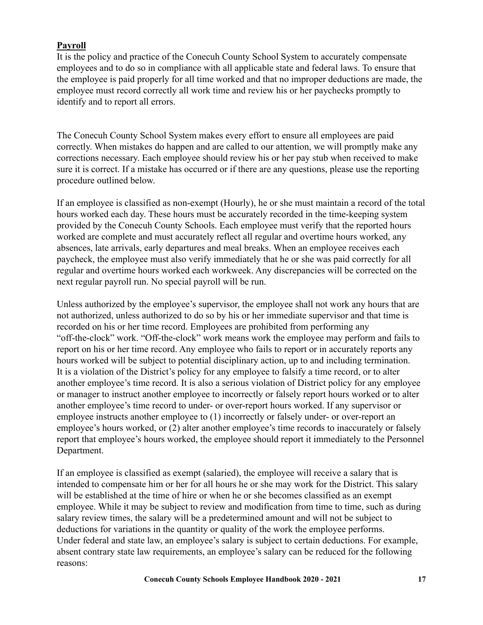#### **Payroll**

It is the policy and practice of the Conecuh County School System to accurately compensate employees and to do so in compliance with all applicable state and federal laws. To ensure that the employee is paid properly for all time worked and that no improper deductions are made, the employee must record correctly all work time and review his or her paychecks promptly to identify and to report all errors.

The Conecuh County School System makes every effort to ensure all employees are paid correctly. When mistakes do happen and are called to our attention, we will promptly make any corrections necessary. Each employee should review his or her pay stub when received to make sure it is correct. If a mistake has occurred or if there are any questions, please use the reporting procedure outlined below.

If an employee is classified as non-exempt (Hourly), he or she must maintain a record of the total hours worked each day. These hours must be accurately recorded in the time-keeping system provided by the Conecuh County Schools. Each employee must verify that the reported hours worked are complete and must accurately reflect all regular and overtime hours worked, any absences, late arrivals, early departures and meal breaks. When an employee receives each paycheck, the employee must also verify immediately that he or she was paid correctly for all regular and overtime hours worked each workweek. Any discrepancies will be corrected on the next regular payroll run. No special payroll will be run.

Unless authorized by the employee's supervisor, the employee shall not work any hours that are not authorized, unless authorized to do so by his or her immediate supervisor and that time is recorded on his or her time record. Employees are prohibited from performing any "off-the-clock" work. "Off-the-clock" work means work the employee may perform and fails to report on his or her time record. Any employee who fails to report or in accurately reports any hours worked will be subject to potential disciplinary action, up to and including termination. It is a violation of the District's policy for any employee to falsify a time record, or to alter another employee's time record. It is also a serious violation of District policy for any employee or manager to instruct another employee to incorrectly or falsely report hours worked or to alter another employee's time record to under- or over-report hours worked. If any supervisor or employee instructs another employee to (1) incorrectly or falsely under- or over-report an employee's hours worked, or (2) alter another employee's time records to inaccurately or falsely report that employee's hours worked, the employee should report it immediately to the Personnel Department.

If an employee is classified as exempt (salaried), the employee will receive a salary that is intended to compensate him or her for all hours he or she may work for the District. This salary will be established at the time of hire or when he or she becomes classified as an exempt employee. While it may be subject to review and modification from time to time, such as during salary review times, the salary will be a predetermined amount and will not be subject to deductions for variations in the quantity or quality of the work the employee performs. Under federal and state law, an employee's salary is subject to certain deductions. For example, absent contrary state law requirements, an employee's salary can be reduced for the following reasons: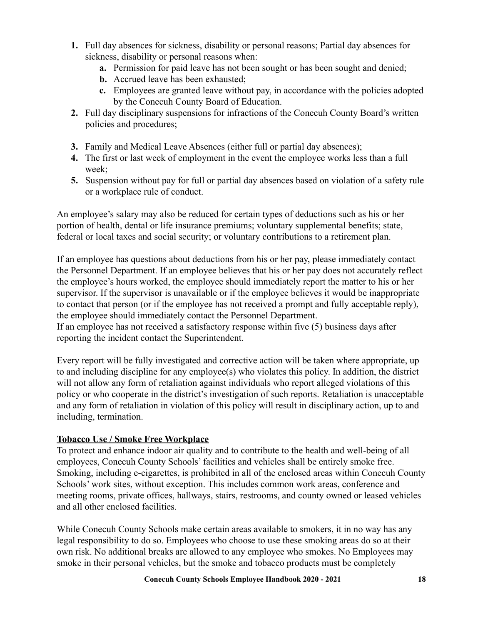- **1.** Full day absences for sickness, disability or personal reasons; Partial day absences for sickness, disability or personal reasons when:
	- **a.** Permission for paid leave has not been sought or has been sought and denied;
	- **b.** Accrued leave has been exhausted;
	- **c.** Employees are granted leave without pay, in accordance with the policies adopted by the Conecuh County Board of Education.
- **2.** Full day disciplinary suspensions for infractions of the Conecuh County Board's written policies and procedures;
- **3.** Family and Medical Leave Absences (either full or partial day absences);
- **4.** The first or last week of employment in the event the employee works less than a full week;
- **5.** Suspension without pay for full or partial day absences based on violation of a safety rule or a workplace rule of conduct.

An employee's salary may also be reduced for certain types of deductions such as his or her portion of health, dental or life insurance premiums; voluntary supplemental benefits; state, federal or local taxes and social security; or voluntary contributions to a retirement plan.

If an employee has questions about deductions from his or her pay, please immediately contact the Personnel Department. If an employee believes that his or her pay does not accurately reflect the employee's hours worked, the employee should immediately report the matter to his or her supervisor. If the supervisor is unavailable or if the employee believes it would be inappropriate to contact that person (or if the employee has not received a prompt and fully acceptable reply), the employee should immediately contact the Personnel Department.

If an employee has not received a satisfactory response within five (5) business days after reporting the incident contact the Superintendent.

Every report will be fully investigated and corrective action will be taken where appropriate, up to and including discipline for any employee(s) who violates this policy. In addition, the district will not allow any form of retaliation against individuals who report alleged violations of this policy or who cooperate in the district's investigation of such reports. Retaliation is unacceptable and any form of retaliation in violation of this policy will result in disciplinary action, up to and including, termination.

#### **Tobacco Use / Smoke Free Workplace**

To protect and enhance indoor air quality and to contribute to the health and well-being of all employees, Conecuh County Schools' facilities and vehicles shall be entirely smoke free. Smoking, including e-cigarettes, is prohibited in all of the enclosed areas within Conecuh County Schools' work sites, without exception. This includes common work areas, conference and meeting rooms, private offices, hallways, stairs, restrooms, and county owned or leased vehicles and all other enclosed facilities.

While Conecuh County Schools make certain areas available to smokers, it in no way has any legal responsibility to do so. Employees who choose to use these smoking areas do so at their own risk. No additional breaks are allowed to any employee who smokes. No Employees may smoke in their personal vehicles, but the smoke and tobacco products must be completely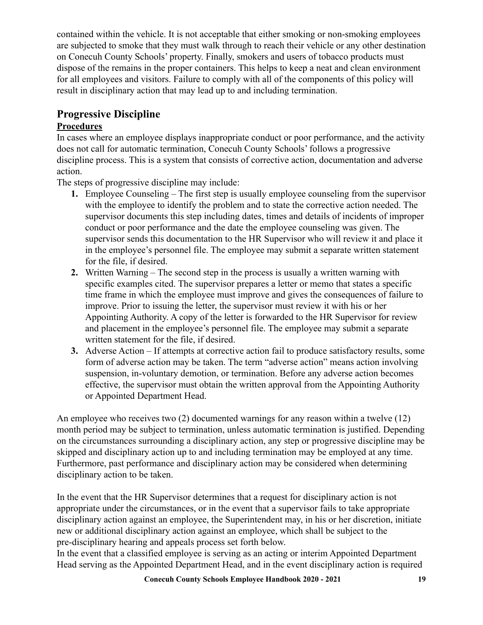contained within the vehicle. It is not acceptable that either smoking or non-smoking employees are subjected to smoke that they must walk through to reach their vehicle or any other destination on Conecuh County Schools' property. Finally, smokers and users of tobacco products must dispose of the remains in the proper containers. This helps to keep a neat and clean environment for all employees and visitors. Failure to comply with all of the components of this policy will result in disciplinary action that may lead up to and including termination.

### **Progressive Discipline**

#### **Procedures**

In cases where an employee displays inappropriate conduct or poor performance, and the activity does not call for automatic termination, Conecuh County Schools' follows a progressive discipline process. This is a system that consists of corrective action, documentation and adverse action.

The steps of progressive discipline may include:

- **1.** Employee Counseling The first step is usually employee counseling from the supervisor with the employee to identify the problem and to state the corrective action needed. The supervisor documents this step including dates, times and details of incidents of improper conduct or poor performance and the date the employee counseling was given. The supervisor sends this documentation to the HR Supervisor who will review it and place it in the employee's personnel file. The employee may submit a separate written statement for the file, if desired.
- **2.** Written Warning The second step in the process is usually a written warning with specific examples cited. The supervisor prepares a letter or memo that states a specific time frame in which the employee must improve and gives the consequences of failure to improve. Prior to issuing the letter, the supervisor must review it with his or her Appointing Authority. A copy of the letter is forwarded to the HR Supervisor for review and placement in the employee's personnel file. The employee may submit a separate written statement for the file, if desired.
- **3.** Adverse Action If attempts at corrective action fail to produce satisfactory results, some form of adverse action may be taken. The term "adverse action" means action involving suspension, in-voluntary demotion, or termination. Before any adverse action becomes effective, the supervisor must obtain the written approval from the Appointing Authority or Appointed Department Head.

An employee who receives two (2) documented warnings for any reason within a twelve (12) month period may be subject to termination, unless automatic termination is justified. Depending on the circumstances surrounding a disciplinary action, any step or progressive discipline may be skipped and disciplinary action up to and including termination may be employed at any time. Furthermore, past performance and disciplinary action may be considered when determining disciplinary action to be taken.

In the event that the HR Supervisor determines that a request for disciplinary action is not appropriate under the circumstances, or in the event that a supervisor fails to take appropriate disciplinary action against an employee, the Superintendent may, in his or her discretion, initiate new or additional disciplinary action against an employee, which shall be subject to the pre-disciplinary hearing and appeals process set forth below.

In the event that a classified employee is serving as an acting or interim Appointed Department Head serving as the Appointed Department Head, and in the event disciplinary action is required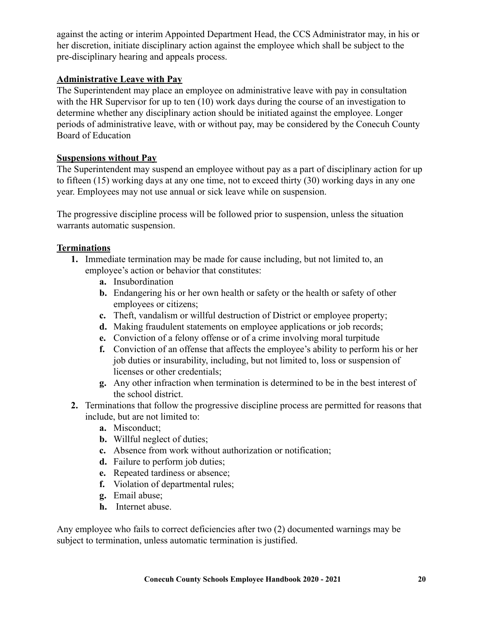against the acting or interim Appointed Department Head, the CCS Administrator may, in his or her discretion, initiate disciplinary action against the employee which shall be subject to the pre-disciplinary hearing and appeals process.

#### **Administrative Leave with Pay**

The Superintendent may place an employee on administrative leave with pay in consultation with the HR Supervisor for up to ten (10) work days during the course of an investigation to determine whether any disciplinary action should be initiated against the employee. Longer periods of administrative leave, with or without pay, may be considered by the Conecuh County Board of Education

#### **Suspensions without Pay**

The Superintendent may suspend an employee without pay as a part of disciplinary action for up to fifteen (15) working days at any one time, not to exceed thirty (30) working days in any one year. Employees may not use annual or sick leave while on suspension.

The progressive discipline process will be followed prior to suspension, unless the situation warrants automatic suspension.

#### **Terminations**

- **1.** Immediate termination may be made for cause including, but not limited to, an employee's action or behavior that constitutes:
	- **a.** Insubordination
	- **b.** Endangering his or her own health or safety or the health or safety of other employees or citizens;
	- **c.** Theft, vandalism or willful destruction of District or employee property;
	- **d.** Making fraudulent statements on employee applications or job records:
	- **e.** Conviction of a felony offense or of a crime involving moral turpitude
	- **f.** Conviction of an offense that affects the employee's ability to perform his or her job duties or insurability, including, but not limited to, loss or suspension of licenses or other credentials;
	- **g.** Any other infraction when termination is determined to be in the best interest of the school district.
- **2.** Terminations that follow the progressive discipline process are permitted for reasons that include, but are not limited to:
	- **a.** Misconduct;
	- **b.** Willful neglect of duties;
	- **c.** Absence from work without authorization or notification;
	- **d.** Failure to perform job duties;
	- **e.** Repeated tardiness or absence;
	- **f.** Violation of departmental rules;
	- **g.** Email abuse;
	- **h.** Internet abuse.

Any employee who fails to correct deficiencies after two (2) documented warnings may be subject to termination, unless automatic termination is justified.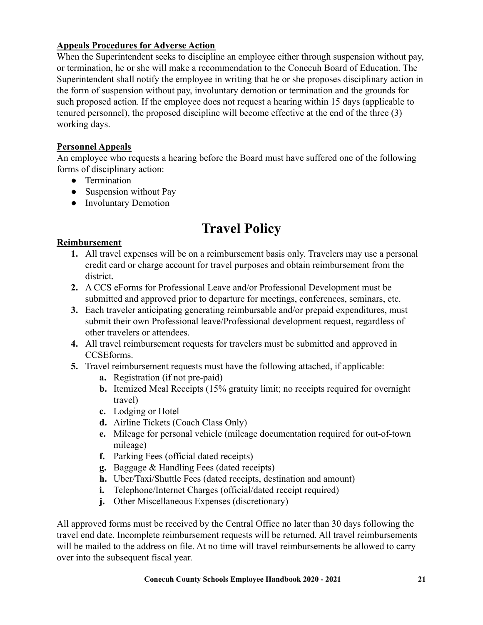#### **Appeals Procedures for Adverse Action**

When the Superintendent seeks to discipline an employee either through suspension without pay, or termination, he or she will make a recommendation to the Conecuh Board of Education. The Superintendent shall notify the employee in writing that he or she proposes disciplinary action in the form of suspension without pay, involuntary demotion or termination and the grounds for such proposed action. If the employee does not request a hearing within 15 days (applicable to tenured personnel), the proposed discipline will become effective at the end of the three (3) working days.

#### **Personnel Appeals**

An employee who requests a hearing before the Board must have suffered one of the following forms of disciplinary action:

- Termination
- Suspension without Pay
- Involuntary Demotion

## **Travel Policy**

#### **Reimbursement**

- **1.** All travel expenses will be on a reimbursement basis only. Travelers may use a personal credit card or charge account for travel purposes and obtain reimbursement from the district.
- **2.** A CCS eForms for Professional Leave and/or Professional Development must be submitted and approved prior to departure for meetings, conferences, seminars, etc.
- **3.** Each traveler anticipating generating reimbursable and/or prepaid expenditures, must submit their own Professional leave/Professional development request, regardless of other travelers or attendees.
- **4.** All travel reimbursement requests for travelers must be submitted and approved in CCSEforms.
- **5.** Travel reimbursement requests must have the following attached, if applicable:
	- **a.** Registration (if not pre-paid)
	- **b.** Itemized Meal Receipts (15% gratuity limit; no receipts required for overnight travel)
	- **c.** Lodging or Hotel
	- **d.** Airline Tickets (Coach Class Only)
	- **e.** Mileage for personal vehicle (mileage documentation required for out-of-town mileage)
	- **f.** Parking Fees (official dated receipts)
	- **g.** Baggage & Handling Fees (dated receipts)
	- **h.** Uber/Taxi/Shuttle Fees (dated receipts, destination and amount)
	- **i.** Telephone/Internet Charges (official/dated receipt required)
	- **j.** Other Miscellaneous Expenses (discretionary)

All approved forms must be received by the Central Office no later than 30 days following the travel end date. Incomplete reimbursement requests will be returned. All travel reimbursements will be mailed to the address on file. At no time will travel reimbursements be allowed to carry over into the subsequent fiscal year.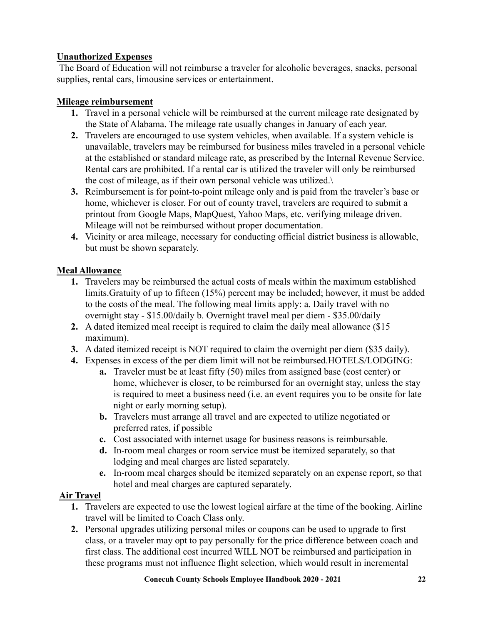#### **Unauthorized Expenses**

The Board of Education will not reimburse a traveler for alcoholic beverages, snacks, personal supplies, rental cars, limousine services or entertainment.

#### **Mileage reimbursement**

- **1.** Travel in a personal vehicle will be reimbursed at the current mileage rate designated by the State of Alabama. The mileage rate usually changes in January of each year.
- **2.** Travelers are encouraged to use system vehicles, when available. If a system vehicle is unavailable, travelers may be reimbursed for business miles traveled in a personal vehicle at the established or standard mileage rate, as prescribed by the Internal Revenue Service. Rental cars are prohibited. If a rental car is utilized the traveler will only be reimbursed the cost of mileage, as if their own personal vehicle was utilized. $\setminus$
- **3.** Reimbursement is for point-to-point mileage only and is paid from the traveler's base or home, whichever is closer. For out of county travel, travelers are required to submit a printout from Google Maps, MapQuest, Yahoo Maps, etc. verifying mileage driven. Mileage will not be reimbursed without proper documentation.
- **4.** Vicinity or area mileage, necessary for conducting official district business is allowable, but must be shown separately.

#### **Meal Allowance**

- **1.** Travelers may be reimbursed the actual costs of meals within the maximum established limits.Gratuity of up to fifteen (15%) percent may be included; however, it must be added to the costs of the meal. The following meal limits apply: a. Daily travel with no overnight stay - \$15.00/daily b. Overnight travel meal per diem - \$35.00/daily
- **2.** A dated itemized meal receipt is required to claim the daily meal allowance (\$15 maximum).
- **3.** A dated itemized receipt is NOT required to claim the overnight per diem (\$35 daily).
- **4.** Expenses in excess of the per diem limit will not be reimbursed.HOTELS/LODGING:
	- **a.** Traveler must be at least fifty (50) miles from assigned base (cost center) or home, whichever is closer, to be reimbursed for an overnight stay, unless the stay is required to meet a business need (i.e. an event requires you to be onsite for late night or early morning setup).
	- **b.** Travelers must arrange all travel and are expected to utilize negotiated or preferred rates, if possible
	- **c.** Cost associated with internet usage for business reasons is reimbursable.
	- **d.** In-room meal charges or room service must be itemized separately, so that lodging and meal charges are listed separately.
	- **e.** In-room meal charges should be itemized separately on an expense report, so that hotel and meal charges are captured separately.

#### **Air Travel**

- **1.** Travelers are expected to use the lowest logical airfare at the time of the booking. Airline travel will be limited to Coach Class only.
- **2.** Personal upgrades utilizing personal miles or coupons can be used to upgrade to first class, or a traveler may opt to pay personally for the price difference between coach and first class. The additional cost incurred WILL NOT be reimbursed and participation in these programs must not influence flight selection, which would result in incremental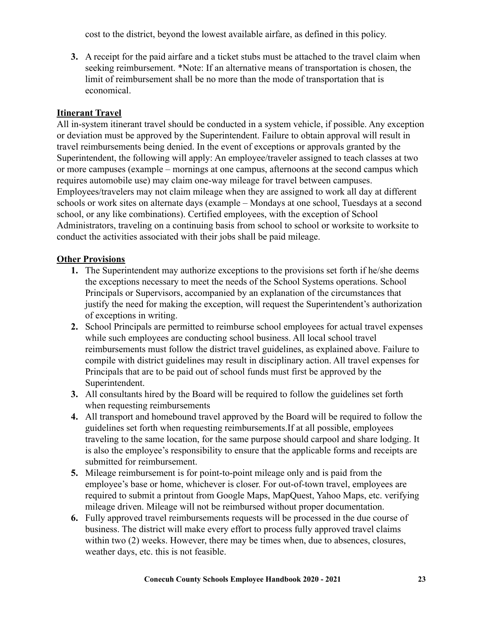cost to the district, beyond the lowest available airfare, as defined in this policy.

**3.** A receipt for the paid airfare and a ticket stubs must be attached to the travel claim when seeking reimbursement. \*Note: If an alternative means of transportation is chosen, the limit of reimbursement shall be no more than the mode of transportation that is economical.

#### **Itinerant Travel**

All in-system itinerant travel should be conducted in a system vehicle, if possible. Any exception or deviation must be approved by the Superintendent. Failure to obtain approval will result in travel reimbursements being denied. In the event of exceptions or approvals granted by the Superintendent, the following will apply: An employee/traveler assigned to teach classes at two or more campuses (example – mornings at one campus, afternoons at the second campus which requires automobile use) may claim one-way mileage for travel between campuses. Employees/travelers may not claim mileage when they are assigned to work all day at different schools or work sites on alternate days (example – Mondays at one school, Tuesdays at a second school, or any like combinations). Certified employees, with the exception of School Administrators, traveling on a continuing basis from school to school or worksite to worksite to conduct the activities associated with their jobs shall be paid mileage.

#### **Other Provisions**

- **1.** The Superintendent may authorize exceptions to the provisions set forth if he/she deems the exceptions necessary to meet the needs of the School Systems operations. School Principals or Supervisors, accompanied by an explanation of the circumstances that justify the need for making the exception, will request the Superintendent's authorization of exceptions in writing.
- **2.** School Principals are permitted to reimburse school employees for actual travel expenses while such employees are conducting school business. All local school travel reimbursements must follow the district travel guidelines, as explained above. Failure to compile with district guidelines may result in disciplinary action. All travel expenses for Principals that are to be paid out of school funds must first be approved by the Superintendent.
- **3.** All consultants hired by the Board will be required to follow the guidelines set forth when requesting reimbursements
- **4.** All transport and homebound travel approved by the Board will be required to follow the guidelines set forth when requesting reimbursements.If at all possible, employees traveling to the same location, for the same purpose should carpool and share lodging. It is also the employee's responsibility to ensure that the applicable forms and receipts are submitted for reimbursement.
- **5.** Mileage reimbursement is for point-to-point mileage only and is paid from the employee's base or home, whichever is closer. For out-of-town travel, employees are required to submit a printout from Google Maps, MapQuest, Yahoo Maps, etc. verifying mileage driven. Mileage will not be reimbursed without proper documentation.
- **6.** Fully approved travel reimbursements requests will be processed in the due course of business. The district will make every effort to process fully approved travel claims within two (2) weeks. However, there may be times when, due to absences, closures, weather days, etc. this is not feasible.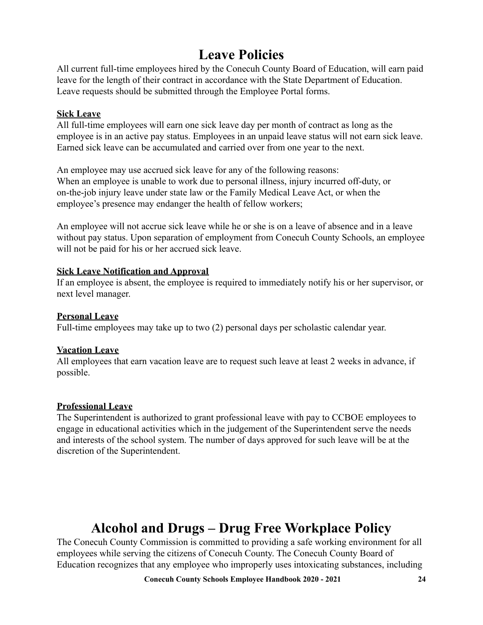## **Leave Policies**

All current full-time employees hired by the Conecuh County Board of Education, will earn paid leave for the length of their contract in accordance with the State Department of Education. Leave requests should be submitted through the Employee Portal forms.

#### **Sick Leave**

All full-time employees will earn one sick leave day per month of contract as long as the employee is in an active pay status. Employees in an unpaid leave status will not earn sick leave. Earned sick leave can be accumulated and carried over from one year to the next.

An employee may use accrued sick leave for any of the following reasons: When an employee is unable to work due to personal illness, injury incurred off-duty, or on-the-job injury leave under state law or the Family Medical Leave Act, or when the employee's presence may endanger the health of fellow workers;

An employee will not accrue sick leave while he or she is on a leave of absence and in a leave without pay status. Upon separation of employment from Conecuh County Schools, an employee will not be paid for his or her accrued sick leave.

#### **Sick Leave Notification and Approval**

If an employee is absent, the employee is required to immediately notify his or her supervisor, or next level manager.

#### **Personal Leave**

Full-time employees may take up to two (2) personal days per scholastic calendar year.

#### **Vacation Leave**

All employees that earn vacation leave are to request such leave at least 2 weeks in advance, if possible.

#### **Professional Leave**

The Superintendent is authorized to grant professional leave with pay to CCBOE employees to engage in educational activities which in the judgement of the Superintendent serve the needs and interests of the school system. The number of days approved for such leave will be at the discretion of the Superintendent.

### **Alcohol and Drugs – Drug Free Workplace Policy**

The Conecuh County Commission is committed to providing a safe working environment for all employees while serving the citizens of Conecuh County. The Conecuh County Board of Education recognizes that any employee who improperly uses intoxicating substances, including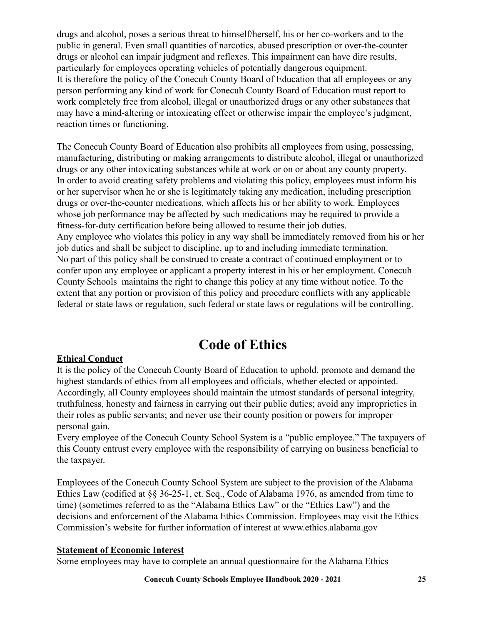drugs and alcohol, poses a serious threat to himself/herself, his or her co-workers and to the public in general. Even small quantities of narcotics, abused prescription or over-the-counter drugs or alcohol can impair judgment and reflexes. This impairment can have dire results, particularly for employees operating vehicles of potentially dangerous equipment. It is therefore the policy of the Conecuh County Board of Education that all employees or any person performing any kind of work for Conecuh County Board of Education must report to work completely free from alcohol, illegal or unauthorized drugs or any other substances that may have a mind-altering or intoxicating effect or otherwise impair the employee's judgment, reaction times or functioning.

The Conecuh County Board of Education also prohibits all employees from using, possessing, manufacturing, distributing or making arrangements to distribute alcohol, illegal or unauthorized drugs or any other intoxicating substances while at work or on or about any county property. In order to avoid creating safety problems and violating this policy, employees must inform his or her supervisor when he or she is legitimately taking any medication, including prescription drugs or over-the-counter medications, which affects his or her ability to work. Employees whose job performance may be affected by such medications may be required to provide a fitness-for-duty certification before being allowed to resume their job duties. Any employee who violates this policy in any way shall be immediately removed from his or her job duties and shall be subject to discipline, up to and including immediate termination. No part of this policy shall be construed to create a contract of continued employment or to confer upon any employee or applicant a property interest in his or her employment. Conecuh County Schools maintains the right to change this policy at any time without notice. To the extent that any portion or provision of this policy and procedure conflicts with any applicable federal or state laws or regulation, such federal or state laws or regulations will be controlling.

### **Code of Ethics**

#### **Ethical Conduct**

It is the policy of the Conecuh County Board of Education to uphold, promote and demand the highest standards of ethics from all employees and officials, whether elected or appointed. Accordingly, all County employees should maintain the utmost standards of personal integrity, truthfulness, honesty and fairness in carrying out their public duties; avoid any improprieties in their roles as public servants; and never use their county position or powers for improper personal gain.

Every employee of the Conecuh County School System is a "public employee." The taxpayers of this County entrust every employee with the responsibility of carrying on business beneficial to the taxpayer.

Employees of the Conecuh County School System are subject to the provision of the Alabama Ethics Law (codified at §§ 36-25-1, et. Seq., Code of Alabama 1976, as amended from time to time) (sometimes referred to as the "Alabama Ethics Law" or the "Ethics Law") and the decisions and enforcement of the Alabama Ethics Commission. Employees may visit the Ethics Commission's website for further information of interest at www.ethics.alabama.gov

#### **Statement of Economic Interest**

Some employees may have to complete an annual questionnaire for the Alabama Ethics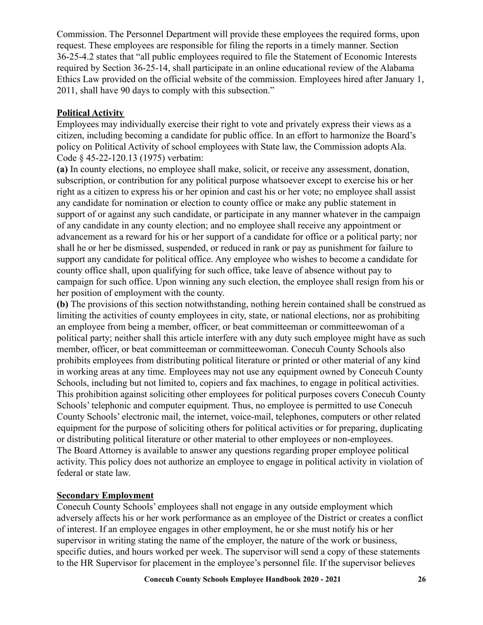Commission. The Personnel Department will provide these employees the required forms, upon request. These employees are responsible for filing the reports in a timely manner. Section 36-25-4.2 states that "all public employees required to file the Statement of Economic Interests required by Section 36-25-14, shall participate in an online educational review of the Alabama Ethics Law provided on the official website of the commission. Employees hired after January 1, 2011, shall have 90 days to comply with this subsection."

#### **Political Activity**

Employees may individually exercise their right to vote and privately express their views as a citizen, including becoming a candidate for public office. In an effort to harmonize the Board's policy on Political Activity of school employees with State law, the Commission adopts Ala. Code § 45-22-120.13 (1975) verbatim:

**(a)** In county elections, no employee shall make, solicit, or receive any assessment, donation, subscription, or contribution for any political purpose whatsoever except to exercise his or her right as a citizen to express his or her opinion and cast his or her vote; no employee shall assist any candidate for nomination or election to county office or make any public statement in support of or against any such candidate, or participate in any manner whatever in the campaign of any candidate in any county election; and no employee shall receive any appointment or advancement as a reward for his or her support of a candidate for office or a political party; nor shall he or her be dismissed, suspended, or reduced in rank or pay as punishment for failure to support any candidate for political office. Any employee who wishes to become a candidate for county office shall, upon qualifying for such office, take leave of absence without pay to campaign for such office. Upon winning any such election, the employee shall resign from his or her position of employment with the county.

**(b)** The provisions of this section notwithstanding, nothing herein contained shall be construed as limiting the activities of county employees in city, state, or national elections, nor as prohibiting an employee from being a member, officer, or beat committeeman or committeewoman of a political party; neither shall this article interfere with any duty such employee might have as such member, officer, or beat committeeman or committeewoman. Conecuh County Schools also prohibits employees from distributing political literature or printed or other material of any kind in working areas at any time. Employees may not use any equipment owned by Conecuh County Schools, including but not limited to, copiers and fax machines, to engage in political activities. This prohibition against soliciting other employees for political purposes covers Conecuh County Schools' telephonic and computer equipment. Thus, no employee is permitted to use Conecuh County Schools' electronic mail, the internet, voice-mail, telephones, computers or other related equipment for the purpose of soliciting others for political activities or for preparing, duplicating or distributing political literature or other material to other employees or non-employees. The Board Attorney is available to answer any questions regarding proper employee political activity. This policy does not authorize an employee to engage in political activity in violation of federal or state law.

#### **Secondary Employment**

Conecuh County Schools' employees shall not engage in any outside employment which adversely affects his or her work performance as an employee of the District or creates a conflict of interest. If an employee engages in other employment, he or she must notify his or her supervisor in writing stating the name of the employer, the nature of the work or business, specific duties, and hours worked per week. The supervisor will send a copy of these statements to the HR Supervisor for placement in the employee's personnel file. If the supervisor believes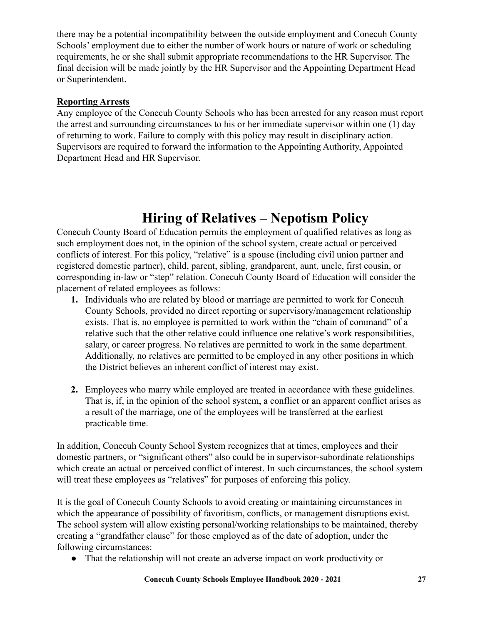there may be a potential incompatibility between the outside employment and Conecuh County Schools' employment due to either the number of work hours or nature of work or scheduling requirements, he or she shall submit appropriate recommendations to the HR Supervisor. The final decision will be made jointly by the HR Supervisor and the Appointing Department Head or Superintendent.

#### **Reporting Arrests**

Any employee of the Conecuh County Schools who has been arrested for any reason must report the arrest and surrounding circumstances to his or her immediate supervisor within one (1) day of returning to work. Failure to comply with this policy may result in disciplinary action. Supervisors are required to forward the information to the Appointing Authority, Appointed Department Head and HR Supervisor.

## **Hiring of Relatives – Nepotism Policy**

Conecuh County Board of Education permits the employment of qualified relatives as long as such employment does not, in the opinion of the school system, create actual or perceived conflicts of interest. For this policy, "relative" is a spouse (including civil union partner and registered domestic partner), child, parent, sibling, grandparent, aunt, uncle, first cousin, or corresponding in-law or "step" relation. Conecuh County Board of Education will consider the placement of related employees as follows:

- **1.** Individuals who are related by blood or marriage are permitted to work for Conecuh County Schools, provided no direct reporting or supervisory/management relationship exists. That is, no employee is permitted to work within the "chain of command" of a relative such that the other relative could influence one relative's work responsibilities, salary, or career progress. No relatives are permitted to work in the same department. Additionally, no relatives are permitted to be employed in any other positions in which the District believes an inherent conflict of interest may exist.
- **2.** Employees who marry while employed are treated in accordance with these guidelines. That is, if, in the opinion of the school system, a conflict or an apparent conflict arises as a result of the marriage, one of the employees will be transferred at the earliest practicable time.

In addition, Conecuh County School System recognizes that at times, employees and their domestic partners, or "significant others" also could be in supervisor-subordinate relationships which create an actual or perceived conflict of interest. In such circumstances, the school system will treat these employees as "relatives" for purposes of enforcing this policy.

It is the goal of Conecuh County Schools to avoid creating or maintaining circumstances in which the appearance of possibility of favoritism, conflicts, or management disruptions exist. The school system will allow existing personal/working relationships to be maintained, thereby creating a "grandfather clause" for those employed as of the date of adoption, under the following circumstances:

● That the relationship will not create an adverse impact on work productivity or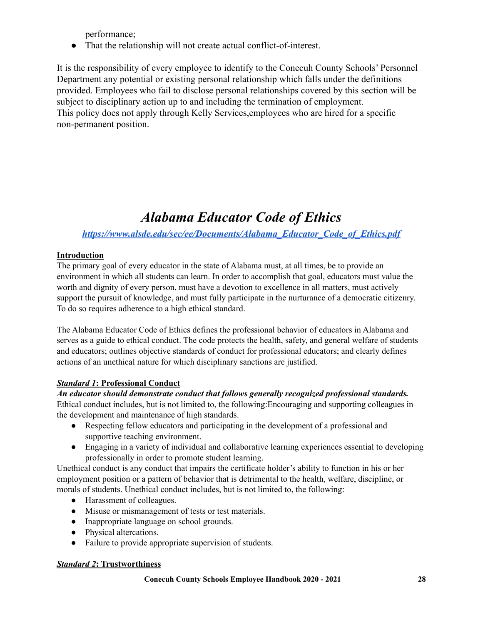performance;

● That the relationship will not create actual conflict-of-interest.

It is the responsibility of every employee to identify to the Conecuh County Schools' Personnel Department any potential or existing personal relationship which falls under the definitions provided. Employees who fail to disclose personal relationships covered by this section will be subject to disciplinary action up to and including the termination of employment. This policy does not apply through Kelly Services,employees who are hired for a specific non-permanent position.

## *Alabama Educator Code of Ethics*

#### *[https://www.alsde.edu/sec/ee/Documents/Alabama\\_Educator\\_Code\\_of\\_Ethics.pdf](https://www.alsde.edu/sec/ee/Documents/Alabama_Educator_Code_of_Ethics.pdf)*

#### **Introduction**

The primary goal of every educator in the state of Alabama must, at all times, be to provide an environment in which all students can learn. In order to accomplish that goal, educators must value the worth and dignity of every person, must have a devotion to excellence in all matters, must actively support the pursuit of knowledge, and must fully participate in the nurturance of a democratic citizenry. To do so requires adherence to a high ethical standard.

The Alabama Educator Code of Ethics defines the professional behavior of educators in Alabama and serves as a guide to ethical conduct. The code protects the health, safety, and general welfare of students and educators; outlines objective standards of conduct for professional educators; and clearly defines actions of an unethical nature for which disciplinary sanctions are justified.

#### *Standard 1***: Professional Conduct**

#### *An educator should demonstrate conduct that follows generally recognized professional standards.*

Ethical conduct includes, but is not limited to, the following:Encouraging and supporting colleagues in the development and maintenance of high standards.

- Respecting fellow educators and participating in the development of a professional and supportive teaching environment.
- Engaging in a variety of individual and collaborative learning experiences essential to developing professionally in order to promote student learning.

Unethical conduct is any conduct that impairs the certificate holder's ability to function in his or her employment position or a pattern of behavior that is detrimental to the health, welfare, discipline, or morals of students. Unethical conduct includes, but is not limited to, the following:

- Harassment of colleagues.
- Misuse or mismanagement of tests or test materials.
- Inappropriate language on school grounds.
- Physical altercations.
- Failure to provide appropriate supervision of students.

#### *Standard 2***: Trustworthiness**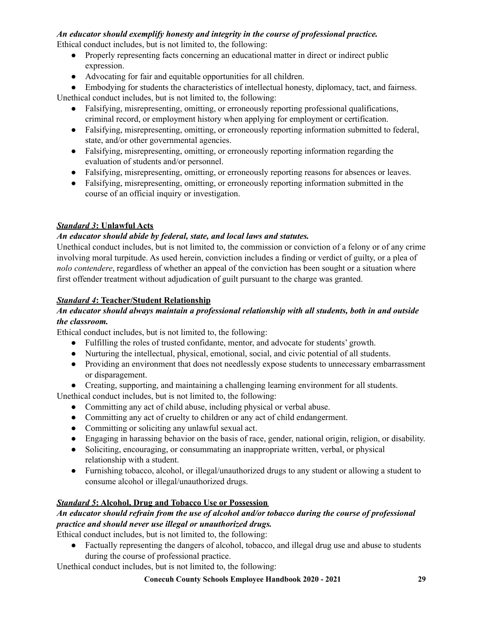#### *An educator should exemplify honesty and integrity in the course of professional practice.*

Ethical conduct includes, but is not limited to, the following:

- Properly representing facts concerning an educational matter in direct or indirect public expression.
- Advocating for fair and equitable opportunities for all children.

• Embodying for students the characteristics of intellectual honesty, diplomacy, tact, and fairness. Unethical conduct includes, but is not limited to, the following:

- Falsifying, misrepresenting, omitting, or erroneously reporting professional qualifications, criminal record, or employment history when applying for employment or certification.
- Falsifying, misrepresenting, omitting, or erroneously reporting information submitted to federal, state, and/or other governmental agencies.
- Falsifying, misrepresenting, omitting, or erroneously reporting information regarding the evaluation of students and/or personnel.
- Falsifying, misrepresenting, omitting, or erroneously reporting reasons for absences or leaves.
- Falsifying, misrepresenting, omitting, or erroneously reporting information submitted in the course of an official inquiry or investigation.

#### *Standard 3***: Unlawful Acts**

#### *An educator should abide by federal, state, and local laws and statutes.*

Unethical conduct includes, but is not limited to, the commission or conviction of a felony or of any crime involving moral turpitude. As used herein, conviction includes a finding or verdict of guilty, or a plea of *nolo contendere*, regardless of whether an appeal of the conviction has been sought or a situation where first offender treatment without adjudication of guilt pursuant to the charge was granted.

#### *Standard 4***: Teacher/Student Relationship**

#### *An educator should always maintain a professional relationship with all students, both in and outside the classroom.*

Ethical conduct includes, but is not limited to, the following:

- Fulfilling the roles of trusted confidante, mentor, and advocate for students' growth.
- Nurturing the intellectual, physical, emotional, social, and civic potential of all students.
- Providing an environment that does not needlessly expose students to unnecessary embarrassment or disparagement.
- Creating, supporting, and maintaining a challenging learning environment for all students.

Unethical conduct includes, but is not limited to, the following:

- Committing any act of child abuse, including physical or verbal abuse.
- Committing any act of cruelty to children or any act of child endangerment.
- Committing or soliciting any unlawful sexual act.
- Engaging in harassing behavior on the basis of race, gender, national origin, religion, or disability.
- Soliciting, encouraging, or consummating an inappropriate written, verbal, or physical relationship with a student.
- Furnishing tobacco, alcohol, or illegal/unauthorized drugs to any student or allowing a student to consume alcohol or illegal/unauthorized drugs.

#### *Standard 5***: Alcohol, Drug and Tobacco Use or Possession**

#### *An educator should refrain from the use of alcohol and/or tobacco during the course of professional practice and should never use illegal or unauthorized drugs.*

Ethical conduct includes, but is not limited to, the following:

● Factually representing the dangers of alcohol, tobacco, and illegal drug use and abuse to students during the course of professional practice.

Unethical conduct includes, but is not limited to, the following: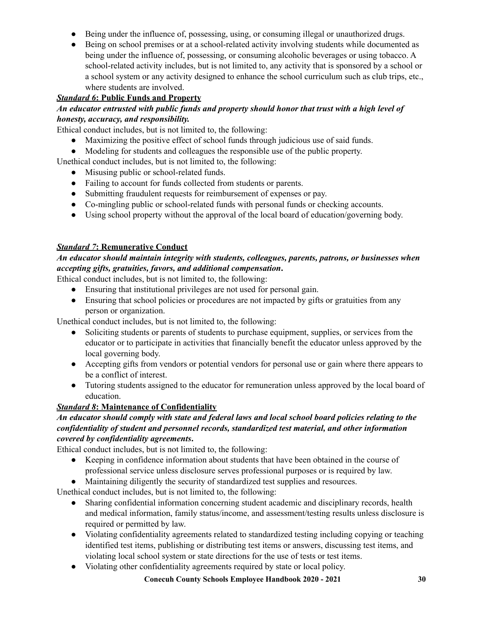- Being under the influence of, possessing, using, or consuming illegal or unauthorized drugs.
- Being on school premises or at a school-related activity involving students while documented as being under the influence of, possessing, or consuming alcoholic beverages or using tobacco. A school-related activity includes, but is not limited to, any activity that is sponsored by a school or a school system or any activity designed to enhance the school curriculum such as club trips, etc., where students are involved.

#### *Standard 6***: Public Funds and Property**

#### *An educator entrusted with public funds and property should honor that trust with a high level of honesty, accuracy, and responsibility.*

Ethical conduct includes, but is not limited to, the following:

- Maximizing the positive effect of school funds through judicious use of said funds.
- Modeling for students and colleagues the responsible use of the public property.

Unethical conduct includes, but is not limited to, the following:

- Misusing public or school-related funds.
- Failing to account for funds collected from students or parents.
- Submitting fraudulent requests for reimbursement of expenses or pay.
- Co-mingling public or school-related funds with personal funds or checking accounts.
- Using school property without the approval of the local board of education/governing body.

#### *Standard 7***: Remunerative Conduct**

#### *An educator should maintain integrity with students, colleagues, parents, patrons, or businesses when accepting gifts, gratuities, favors, and additional compensation***.**

Ethical conduct includes, but is not limited to, the following:

- Ensuring that institutional privileges are not used for personal gain.
- Ensuring that school policies or procedures are not impacted by gifts or gratuities from any person or organization.

Unethical conduct includes, but is not limited to, the following:

- Soliciting students or parents of students to purchase equipment, supplies, or services from the educator or to participate in activities that financially benefit the educator unless approved by the local governing body.
- Accepting gifts from vendors or potential vendors for personal use or gain where there appears to be a conflict of interest.
- Tutoring students assigned to the educator for remuneration unless approved by the local board of education.

#### *Standard 8***: Maintenance of Confidentiality**

#### *An educator should comply with state and federal laws and local school board policies relating to the confidentiality of student and personnel records, standardized test material, and other information covered by confidentiality agreements***.**

Ethical conduct includes, but is not limited to, the following:

- Keeping in confidence information about students that have been obtained in the course of professional service unless disclosure serves professional purposes or is required by law.
- Maintaining diligently the security of standardized test supplies and resources.

Unethical conduct includes, but is not limited to, the following:

- Sharing confidential information concerning student academic and disciplinary records, health and medical information, family status/income, and assessment/testing results unless disclosure is required or permitted by law.
- Violating confidentiality agreements related to standardized testing including copying or teaching identified test items, publishing or distributing test items or answers, discussing test items, and violating local school system or state directions for the use of tests or test items.
- Violating other confidentiality agreements required by state or local policy.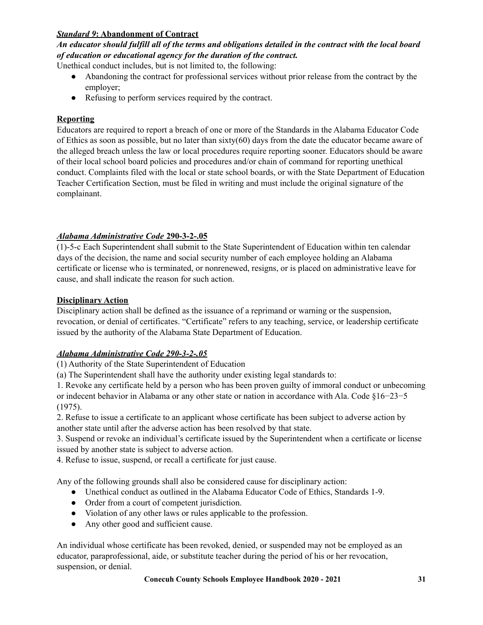#### *Standard 9***: Abandonment of Contract**

#### An educator should fulfill all of the terms and obligations detailed in the contract with the local board *of education or educational agency for the duration of the contract.*

Unethical conduct includes, but is not limited to, the following:

- Abandoning the contract for professional services without prior release from the contract by the employer;
- Refusing to perform services required by the contract.

#### **Reporting**

Educators are required to report a breach of one or more of the Standards in the Alabama Educator Code of Ethics as soon as possible, but no later than  $sixty(60)$  days from the date the educator became aware of the alleged breach unless the law or local procedures require reporting sooner. Educators should be aware of their local school board policies and procedures and/or chain of command for reporting unethical conduct. Complaints filed with the local or state school boards, or with the State Department of Education Teacher Certification Section, must be filed in writing and must include the original signature of the complainant.

#### *Alabama Administrative Code* **290-3-2-.05**

(1)-5-c Each Superintendent shall submit to the State Superintendent of Education within ten calendar days of the decision, the name and social security number of each employee holding an Alabama certificate or license who is terminated, or nonrenewed, resigns, or is placed on administrative leave for cause, and shall indicate the reason for such action.

#### **Disciplinary Action**

Disciplinary action shall be defined as the issuance of a reprimand or warning or the suspension, revocation, or denial of certificates. "Certificate" refers to any teaching, service, or leadership certificate issued by the authority of the Alabama State Department of Education.

#### *Alabama Administrative Code 290-3-2-.05*

(1) Authority of the State Superintendent of Education

(a) The Superintendent shall have the authority under existing legal standards to:

1. Revoke any certificate held by a person who has been proven guilty of immoral conduct or unbecoming or indecent behavior in Alabama or any other state or nation in accordance with Ala. Code §16−23−5 (1975).

2. Refuse to issue a certificate to an applicant whose certificate has been subject to adverse action by another state until after the adverse action has been resolved by that state.

3. Suspend or revoke an individual's certificate issued by the Superintendent when a certificate or license issued by another state is subject to adverse action.

4. Refuse to issue, suspend, or recall a certificate for just cause.

Any of the following grounds shall also be considered cause for disciplinary action:

- Unethical conduct as outlined in the Alabama Educator Code of Ethics, Standards 1-9.
- Order from a court of competent jurisdiction.
- Violation of any other laws or rules applicable to the profession.
- Any other good and sufficient cause.

An individual whose certificate has been revoked, denied, or suspended may not be employed as an educator, paraprofessional, aide, or substitute teacher during the period of his or her revocation, suspension, or denial.

**Conecuh County Schools Employee Handbook 2020 - 2021 31**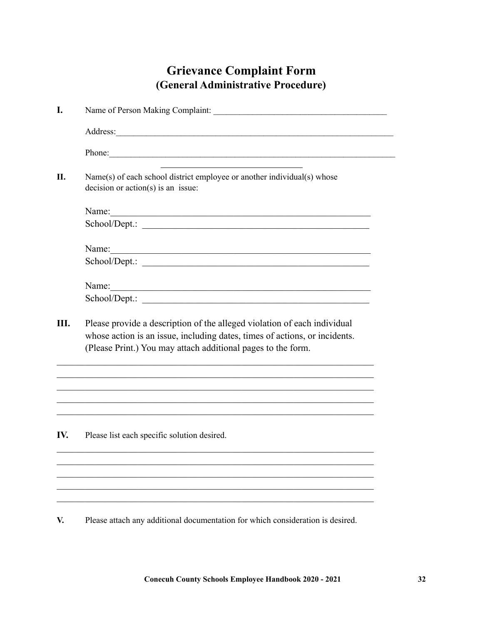### **Grievance Complaint Form (General Administrative Procedure)**

| I.  |                                                                                                                                                                                                                        |  |  |
|-----|------------------------------------------------------------------------------------------------------------------------------------------------------------------------------------------------------------------------|--|--|
|     |                                                                                                                                                                                                                        |  |  |
|     | Phone:                                                                                                                                                                                                                 |  |  |
| II. | Name(s) of each school district employee or another individual(s) whose<br>$decision or action(s)$ is an issue:                                                                                                        |  |  |
|     |                                                                                                                                                                                                                        |  |  |
|     |                                                                                                                                                                                                                        |  |  |
|     |                                                                                                                                                                                                                        |  |  |
|     |                                                                                                                                                                                                                        |  |  |
|     | Name:                                                                                                                                                                                                                  |  |  |
|     |                                                                                                                                                                                                                        |  |  |
| Ш.  | Please provide a description of the alleged violation of each individual<br>whose action is an issue, including dates, times of actions, or incidents.<br>(Please Print.) You may attach additional pages to the form. |  |  |
|     |                                                                                                                                                                                                                        |  |  |
| IV. | Please list each specific solution desired.                                                                                                                                                                            |  |  |
|     |                                                                                                                                                                                                                        |  |  |
|     |                                                                                                                                                                                                                        |  |  |

**V.** Please attach any additional documentation for which consideration is desired.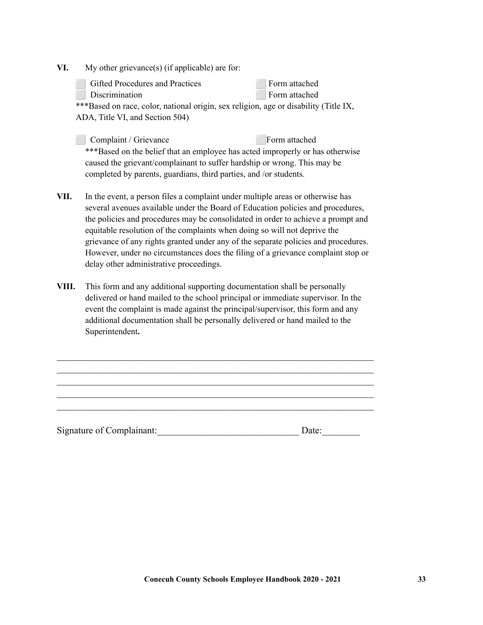**VI.** My other grievance(s) (if applicable) are for:

| Gifted Procedures and Practices                                                      | Form attached |  |  |
|--------------------------------------------------------------------------------------|---------------|--|--|
| Discrimination                                                                       | Form attached |  |  |
| ***Based on race, color, national origin, sex religion, age or disability (Title IX, |               |  |  |
| ADA, Title VI, and Section 504)                                                      |               |  |  |

**Complaint / Grievance Form attached** \*\*\*Based on the belief that an employee has acted improperly or has otherwise caused the grievant/complainant to suffer hardship or wrong. This may be completed by parents, guardians, third parties, and /or students.

- **VII.** In the event, a person files a complaint under multiple areas or otherwise has several avenues available under the Board of Education policies and procedures, the policies and procedures may be consolidated in order to achieve a prompt and equitable resolution of the complaints when doing so will not deprive the grievance of any rights granted under any of the separate policies and procedures. However, under no circumstances does the filing of a grievance complaint stop or delay other administrative proceedings.
- **VIII.** This form and any additional supporting documentation shall be personally delivered or hand mailed to the school principal or immediate supervisor. In the event the complaint is made against the principal/supervisor, this form and any additional documentation shall be personally delivered or hand mailed to the Superintendent**.**

 $\mathcal{L}_\text{max} = \mathcal{L}_\text{max} = \mathcal{L}_\text{max} = \mathcal{L}_\text{max} = \mathcal{L}_\text{max} = \mathcal{L}_\text{max} = \mathcal{L}_\text{max} = \mathcal{L}_\text{max} = \mathcal{L}_\text{max} = \mathcal{L}_\text{max} = \mathcal{L}_\text{max} = \mathcal{L}_\text{max} = \mathcal{L}_\text{max} = \mathcal{L}_\text{max} = \mathcal{L}_\text{max} = \mathcal{L}_\text{max} = \mathcal{L}_\text{max} = \mathcal{L}_\text{max} = \mathcal{$  $\mathcal{L}_\text{max} = \mathcal{L}_\text{max} = \mathcal{L}_\text{max} = \mathcal{L}_\text{max} = \mathcal{L}_\text{max} = \mathcal{L}_\text{max} = \mathcal{L}_\text{max} = \mathcal{L}_\text{max} = \mathcal{L}_\text{max} = \mathcal{L}_\text{max} = \mathcal{L}_\text{max} = \mathcal{L}_\text{max} = \mathcal{L}_\text{max} = \mathcal{L}_\text{max} = \mathcal{L}_\text{max} = \mathcal{L}_\text{max} = \mathcal{L}_\text{max} = \mathcal{L}_\text{max} = \mathcal{$  $\mathcal{L}_\text{max} = \mathcal{L}_\text{max} = \mathcal{L}_\text{max} = \mathcal{L}_\text{max} = \mathcal{L}_\text{max} = \mathcal{L}_\text{max} = \mathcal{L}_\text{max} = \mathcal{L}_\text{max} = \mathcal{L}_\text{max} = \mathcal{L}_\text{max} = \mathcal{L}_\text{max} = \mathcal{L}_\text{max} = \mathcal{L}_\text{max} = \mathcal{L}_\text{max} = \mathcal{L}_\text{max} = \mathcal{L}_\text{max} = \mathcal{L}_\text{max} = \mathcal{L}_\text{max} = \mathcal{$  $\mathcal{L}_\text{max} = \mathcal{L}_\text{max} = \mathcal{L}_\text{max} = \mathcal{L}_\text{max} = \mathcal{L}_\text{max} = \mathcal{L}_\text{max} = \mathcal{L}_\text{max} = \mathcal{L}_\text{max} = \mathcal{L}_\text{max} = \mathcal{L}_\text{max} = \mathcal{L}_\text{max} = \mathcal{L}_\text{max} = \mathcal{L}_\text{max} = \mathcal{L}_\text{max} = \mathcal{L}_\text{max} = \mathcal{L}_\text{max} = \mathcal{L}_\text{max} = \mathcal{L}_\text{max} = \mathcal{$  $\mathcal{L}_\text{max} = \mathcal{L}_\text{max} = \mathcal{L}_\text{max} = \mathcal{L}_\text{max} = \mathcal{L}_\text{max} = \mathcal{L}_\text{max} = \mathcal{L}_\text{max} = \mathcal{L}_\text{max} = \mathcal{L}_\text{max} = \mathcal{L}_\text{max} = \mathcal{L}_\text{max} = \mathcal{L}_\text{max} = \mathcal{L}_\text{max} = \mathcal{L}_\text{max} = \mathcal{L}_\text{max} = \mathcal{L}_\text{max} = \mathcal{L}_\text{max} = \mathcal{L}_\text{max} = \mathcal{$ 

Signature of Complainant: The Date: